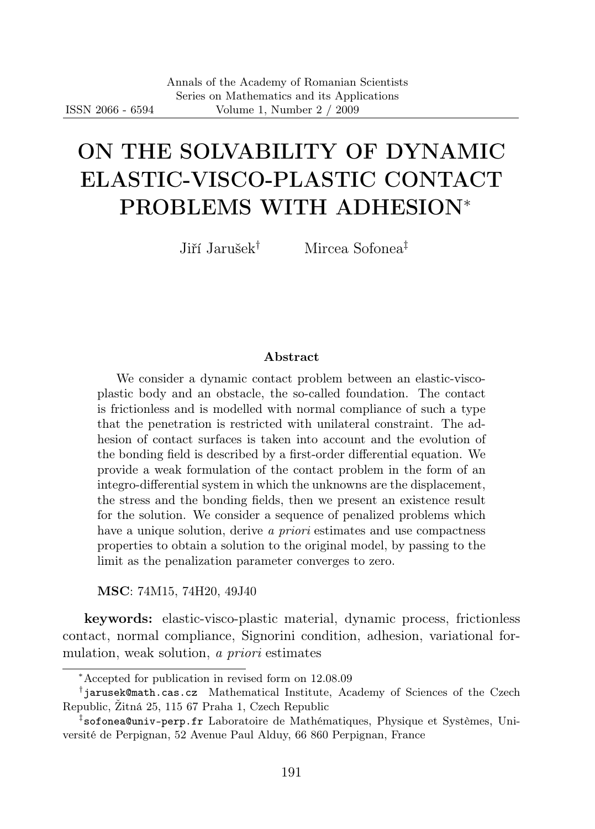# ON THE SOLVABILITY OF DYNAMIC ELASTIC-VISCO-PLASTIC CONTACT PROBLEMS WITH ADHESION<sup>∗</sup>

Jiří Jarušek† Mircea Sofonea‡

#### Abstract

We consider a dynamic contact problem between an elastic-viscoplastic body and an obstacle, the so-called foundation. The contact is frictionless and is modelled with normal compliance of such a type that the penetration is restricted with unilateral constraint. The adhesion of contact surfaces is taken into account and the evolution of the bonding field is described by a first-order differential equation. We provide a weak formulation of the contact problem in the form of an integro-differential system in which the unknowns are the displacement, the stress and the bonding fields, then we present an existence result for the solution. We consider a sequence of penalized problems which have a unique solution, derive a priori estimates and use compactness properties to obtain a solution to the original model, by passing to the limit as the penalization parameter converges to zero.

MSC: 74M15, 74H20, 49J40

keywords: elastic-visco-plastic material, dynamic process, frictionless contact, normal compliance, Signorini condition, adhesion, variational formulation, weak solution, a *priori* estimates

<sup>∗</sup>Accepted for publication in revised form on 12.08.09

<sup>†</sup> jarusek@math.cas.cz Mathematical Institute, Academy of Sciences of the Czech Republic, Žitná 25, 115 67 Praha 1, Czech Republic

<sup>‡</sup> sofonea@univ-perp.fr Laboratoire de Mathématiques, Physique et Systèmes, Université de Perpignan, 52 Avenue Paul Alduy, 66 860 Perpignan, France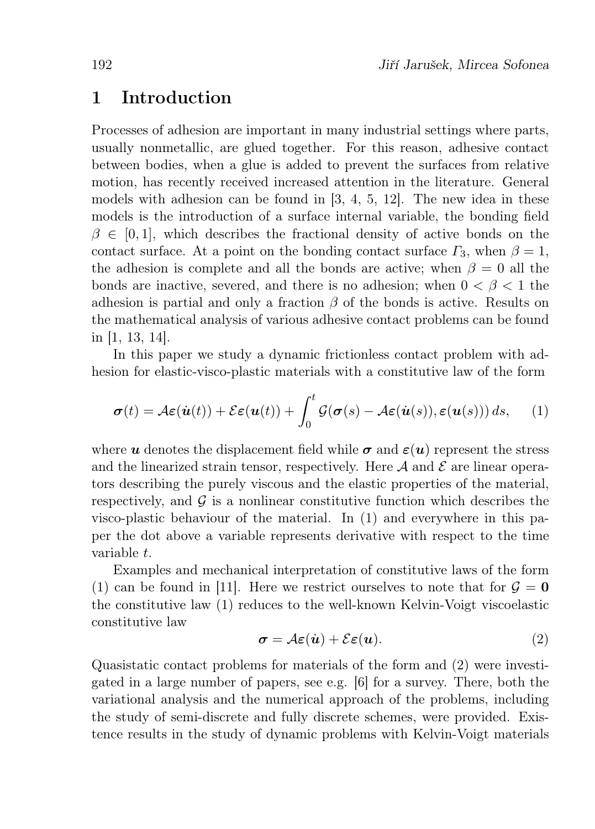## 1 Introduction

Processes of adhesion are important in many industrial settings where parts, usually nonmetallic, are glued together. For this reason, adhesive contact between bodies, when a glue is added to prevent the surfaces from relative motion, has recently received increased attention in the literature. General models with adhesion can be found in [3, 4, 5, 12]. The new idea in these models is the introduction of a surface internal variable, the bonding field  $\beta \in [0, 1]$ , which describes the fractional density of active bonds on the contact surface. At a point on the bonding contact surface  $\Gamma_3$ , when  $\beta = 1$ , the adhesion is complete and all the bonds are active; when  $\beta = 0$  all the bonds are inactive, severed, and there is no adhesion; when  $0 < \beta < 1$  the adhesion is partial and only a fraction  $\beta$  of the bonds is active. Results on the mathematical analysis of various adhesive contact problems can be found in [1, 13, 14].

In this paper we study a dynamic frictionless contact problem with adhesion for elastic-visco-plastic materials with a constitutive law of the form

$$
\boldsymbol{\sigma}(t) = \mathcal{A}\boldsymbol{\varepsilon}(\dot{\boldsymbol{u}}(t)) + \mathcal{E}\boldsymbol{\varepsilon}(\boldsymbol{u}(t)) + \int_0^t \mathcal{G}(\boldsymbol{\sigma}(s) - \mathcal{A}\boldsymbol{\varepsilon}(\dot{\boldsymbol{u}}(s)), \boldsymbol{\varepsilon}(\boldsymbol{u}(s))) ds, \qquad (1)
$$

where u denotes the displacement field while  $\sigma$  and  $\varepsilon(u)$  represent the stress and the linearized strain tensor, respectively. Here  $A$  and  $E$  are linear operators describing the purely viscous and the elastic properties of the material, respectively, and  $\mathcal G$  is a nonlinear constitutive function which describes the visco-plastic behaviour of the material. In (1) and everywhere in this paper the dot above a variable represents derivative with respect to the time variable t.

Examples and mechanical interpretation of constitutive laws of the form (1) can be found in [11]. Here we restrict ourselves to note that for  $\mathcal{G} = \mathbf{0}$ the constitutive law (1) reduces to the well-known Kelvin-Voigt viscoelastic constitutive law

$$
\sigma = \mathcal{A}\varepsilon(\dot{u}) + \mathcal{E}\varepsilon(u). \tag{2}
$$

Quasistatic contact problems for materials of the form and (2) were investigated in a large number of papers, see e.g.  $[6]$  for a survey. There, both the variational analysis and the numerical approach of the problems, including the study of semi-discrete and fully discrete schemes, were provided. Existence results in the study of dynamic problems with Kelvin-Voigt materials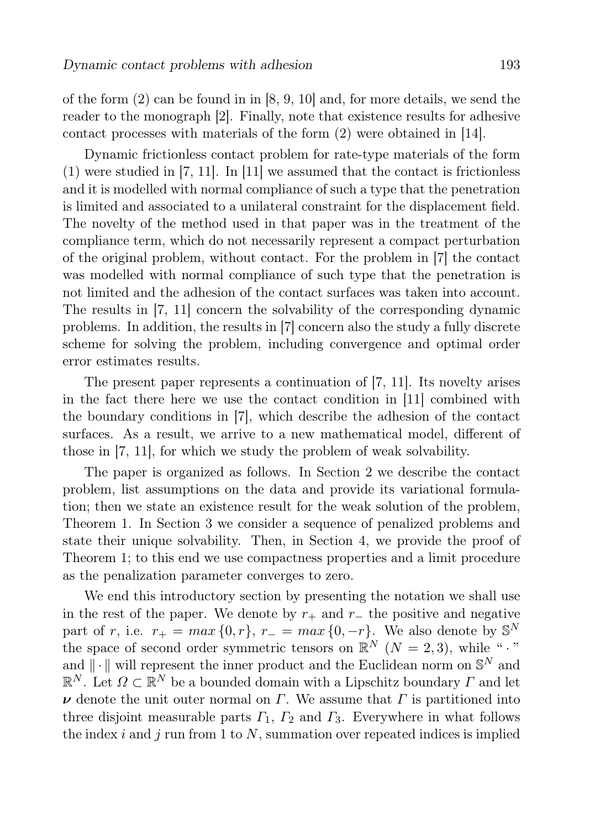of the form  $(2)$  can be found in in [8, 9, 10] and, for more details, we send the reader to the monograph [2]. Finally, note that existence results for adhesive contact processes with materials of the form (2) were obtained in [14].

Dynamic frictionless contact problem for rate-type materials of the form (1) were studied in [7, 11]. In [11] we assumed that the contact is frictionless and it is modelled with normal compliance of such a type that the penetration is limited and associated to a unilateral constraint for the displacement field. The novelty of the method used in that paper was in the treatment of the compliance term, which do not necessarily represent a compact perturbation of the original problem, without contact. For the problem in [7] the contact was modelled with normal compliance of such type that the penetration is not limited and the adhesion of the contact surfaces was taken into account. The results in [7, 11] concern the solvability of the corresponding dynamic problems. In addition, the results in [7] concern also the study a fully discrete scheme for solving the problem, including convergence and optimal order error estimates results.

The present paper represents a continuation of [7, 11]. Its novelty arises in the fact there here we use the contact condition in [11] combined with the boundary conditions in [7], which describe the adhesion of the contact surfaces. As a result, we arrive to a new mathematical model, different of those in [7, 11], for which we study the problem of weak solvability.

The paper is organized as follows. In Section 2 we describe the contact problem, list assumptions on the data and provide its variational formulation; then we state an existence result for the weak solution of the problem, Theorem 1. In Section 3 we consider a sequence of penalized problems and state their unique solvability. Then, in Section 4, we provide the proof of Theorem 1; to this end we use compactness properties and a limit procedure as the penalization parameter converges to zero.

We end this introductory section by presenting the notation we shall use in the rest of the paper. We denote by  $r_+$  and  $r_-$  the positive and negative part of r, i.e.  $r_{+} = max\{0, r\}, r_{-} = max\{0, -r\}.$  We also denote by  $\mathbb{S}^{N}$ the space of second order symmetric tensors on  $\mathbb{R}^N$  ( $N = 2, 3$ ), while " $\cdot$ " and  $\|\cdot\|$  will represent the inner product and the Euclidean norm on  $\mathbb{S}^N$  and  $\mathbb{R}^N$ . Let  $\Omega \subset \mathbb{R}^N$  be a bounded domain with a Lipschitz boundary  $\Gamma$  and let  $\nu$  denote the unit outer normal on  $\Gamma$ . We assume that  $\Gamma$  is partitioned into three disjoint measurable parts  $\Gamma_1$ ,  $\Gamma_2$  and  $\Gamma_3$ . Everywhere in what follows the index  $i$  and  $j$  run from 1 to  $N$ , summation over repeated indices is implied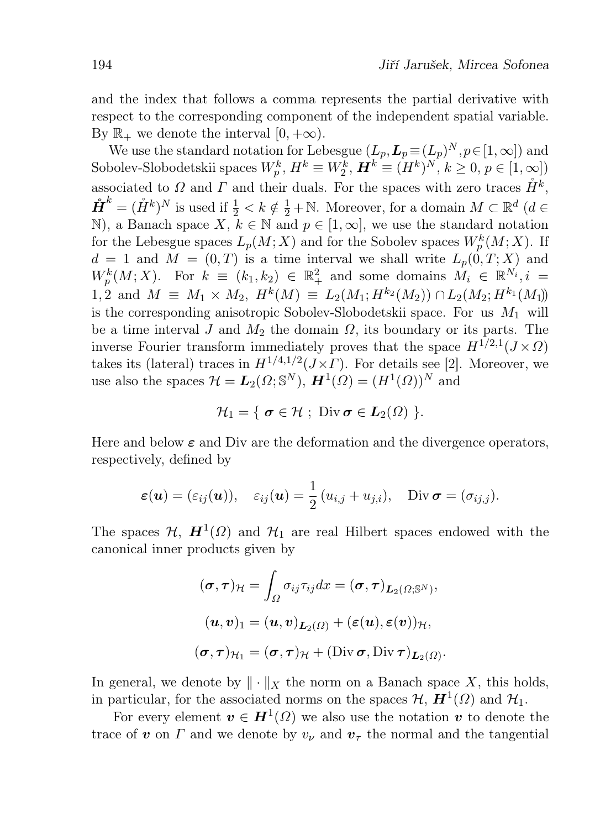and the index that follows a comma represents the partial derivative with respect to the corresponding component of the independent spatial variable. By  $\mathbb{R}_+$  we denote the interval  $[0, +\infty)$ .

We use the standard notation for Lebesgue  $(L_p, L_p \equiv (L_p)^N, p \in [1, \infty])$  and Sobolev-Slobodetskii spaces  $W_p^k$ ,  $H^k \equiv W_2^k$ ,  $\boldsymbol{H}^k \equiv (H^k)^N$ ,  $k \geq 0$ ,  $p \in [1, \infty]$ ) associated to  $\Omega$  and  $\Gamma$  and their duals. For the spaces with zero traces  $\mathring{H}^k$ ,  $\mathring{H}^k = (\mathring{H}^k)^N$  is used if  $\frac{1}{2} < k \notin \frac{1}{2} + \mathbb{N}$ . Moreover, for a domain  $M \subset \mathbb{R}^d$  ( $d \in$ N), a Banach space  $X, k \in \mathbb{N}$  and  $p \in [1, \infty]$ , we use the standard notation for the Lebesgue spaces  $L_p(M; X)$  and for the Sobolev spaces  $W_p^k(M; X)$ . If  $d = 1$  and  $M = (0, T)$  is a time interval we shall write  $L_p(0, T; X)$  and  $W_p^k(M; X)$ . For  $k \equiv (k_1, k_2) \in \mathbb{R}_+^2$  and some domains  $M_i \in \mathbb{R}^{N_i}$ ,  $i =$ 1, 2 and  $M \equiv M_1 \times M_2$ ,  $H^k(M) \equiv L_2(M_1; H^{k_2}(M_2)) \cap L_2(M_2; H^{k_1}(M_1))$ is the corresponding anisotropic Sobolev-Slobodetskii space. For us  $M_1$  will be a time interval J and  $M_2$  the domain  $\Omega$ , its boundary or its parts. The inverse Fourier transform immediately proves that the space  $H^{1/2,1}(J\times\Omega)$ takes its (lateral) traces in  $H^{1/4,1/2}(J\times\Gamma)$ . For details see [2]. Moreover, we use also the spaces  $\mathcal{H} = L_2(\Omega; \mathbb{S}^N)$ ,  $\mathbf{H}^1(\Omega) = (H^1(\Omega))^N$  and

$$
\mathcal{H}_1=\{\ \boldsymbol{\sigma}\in\mathcal{H}\ ;\ \operatorname{Div}\boldsymbol{\sigma}\in\boldsymbol{L}_2(\Omega)\ \}.
$$

Here and below  $\varepsilon$  and Div are the deformation and the divergence operators, respectively, defined by

$$
\varepsilon(\boldsymbol{u}) = (\varepsilon_{ij}(\boldsymbol{u})), \quad \varepsilon_{ij}(\boldsymbol{u}) = \frac{1}{2}(u_{i,j} + u_{j,i}), \quad \text{Div }\boldsymbol{\sigma} = (\sigma_{ij,j}).
$$

The spaces  $\mathcal{H}$ ,  $\mathbf{H}^1(\Omega)$  and  $\mathcal{H}_1$  are real Hilbert spaces endowed with the canonical inner products given by

$$
(\sigma, \tau)_{\mathcal{H}} = \int_{\Omega} \sigma_{ij} \tau_{ij} dx = (\sigma, \tau)_{L_2(\Omega; \mathbb{S}^N)},
$$

$$
(\boldsymbol{u}, \boldsymbol{v})_1 = (\boldsymbol{u}, \boldsymbol{v})_{L_2(\Omega)} + (\varepsilon(\boldsymbol{u}), \varepsilon(\boldsymbol{v}))_{\mathcal{H}},
$$

$$
(\sigma, \tau)_{\mathcal{H}_1} = (\sigma, \tau)_{\mathcal{H}} + (\text{Div} \, \sigma, \text{Div} \, \tau)_{L_2(\Omega)}.
$$

In general, we denote by  $\|\cdot\|_X$  the norm on a Banach space X, this holds, in particular, for the associated norms on the spaces  $\mathcal{H}, H^1(\Omega)$  and  $\mathcal{H}_1$ .

For every element  $\boldsymbol{v} \in \boldsymbol{H}^1(\Omega)$  we also use the notation  $\boldsymbol{v}$  to denote the trace of v on  $\Gamma$  and we denote by  $v_{\nu}$  and  $v_{\tau}$  the normal and the tangential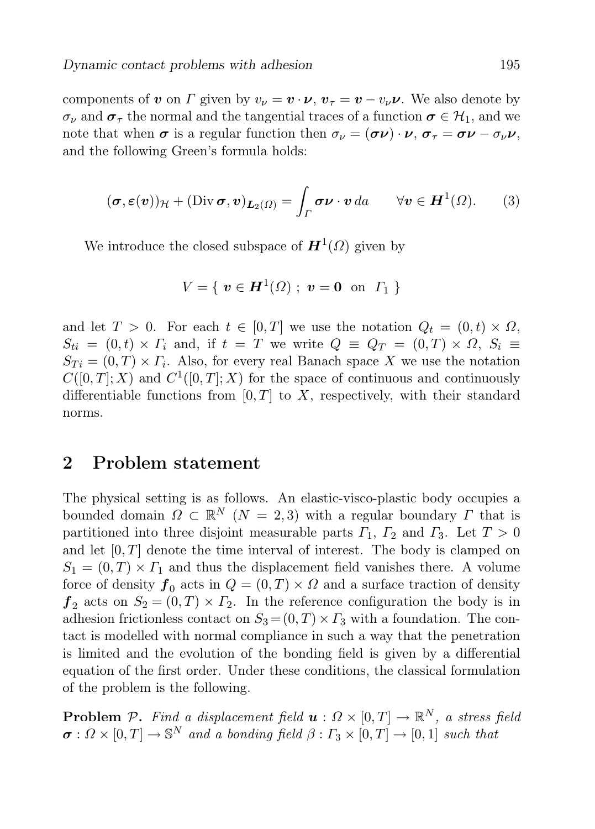components of v on  $\Gamma$  given by  $v_{\nu} = v \cdot \nu$ ,  $v_{\tau} = v - v_{\nu} \nu$ . We also denote by  $\sigma_{\nu}$  and  $\sigma_{\tau}$  the normal and the tangential traces of a function  $\sigma \in \mathcal{H}_1$ , and we note that when  $\sigma$  is a regular function then  $\sigma_{\nu} = (\sigma \nu) \cdot \nu$ ,  $\sigma_{\tau} = \sigma \nu - \sigma_{\nu} \nu$ , and the following Green's formula holds:

$$
(\boldsymbol{\sigma}, \boldsymbol{\varepsilon}(\boldsymbol{v}))_{\mathcal{H}} + (\text{Div}\,\boldsymbol{\sigma}, \boldsymbol{v})_{\boldsymbol{L}_2(\Omega)} = \int_{\Gamma} \boldsymbol{\sigma} \boldsymbol{\nu} \cdot \boldsymbol{v} \, da \qquad \forall \boldsymbol{v} \in \boldsymbol{H}^1(\Omega). \qquad (3)
$$

We introduce the closed subspace of  $\mathbf{H}^1(\Omega)$  given by

$$
V = \{ \ \bm{v} \in \bm{H}^{1}(\varOmega) \ ; \ \bm{v} = \bm{0} \ \ \text{on} \ \ \varGamma_{1} \ \}
$$

and let  $T > 0$ . For each  $t \in [0, T]$  we use the notation  $Q_t = (0, t) \times \Omega$ ,  $S_{ti} = (0, t) \times \Gamma_i$  and, if  $t = T$  we write  $Q = Q_T = (0, T) \times \Omega$ ,  $S_i =$  $S_{Ti} = (0, T) \times \Gamma_i$ . Also, for every real Banach space X we use the notation  $C([0,T];X)$  and  $C^1([0,T];X)$  for the space of continuous and continuously differentiable functions from  $[0, T]$  to X, respectively, with their standard norms.

## 2 Problem statement

The physical setting is as follows. An elastic-visco-plastic body occupies a bounded domain  $\Omega \subset \mathbb{R}^N$   $(N = 2, 3)$  with a regular boundary  $\Gamma$  that is partitioned into three disjoint measurable parts  $\Gamma_1$ ,  $\Gamma_2$  and  $\Gamma_3$ . Let  $T > 0$ and let  $[0, T]$  denote the time interval of interest. The body is clamped on  $S_1 = (0,T) \times \Gamma_1$  and thus the displacement field vanishes there. A volume force of density  $f_0$  acts in  $Q = (0, T) \times \Omega$  and a surface traction of density  $f_2$  acts on  $S_2 = (0,T) \times \Gamma_2$ . In the reference configuration the body is in adhesion frictionless contact on  $S_3 = (0, T) \times \Gamma_3$  with a foundation. The contact is modelled with normal compliance in such a way that the penetration is limited and the evolution of the bonding field is given by a differential equation of the first order. Under these conditions, the classical formulation of the problem is the following.

**Problem** P. Find a displacement field  $\boldsymbol{u}: \Omega \times [0,T] \to \mathbb{R}^N$ , a stress field  $\sigma: \Omega \times [0,T] \to \mathbb{S}^N$  and a bonding field  $\beta: \Gamma_3 \times [0,T] \to [0,1]$  such that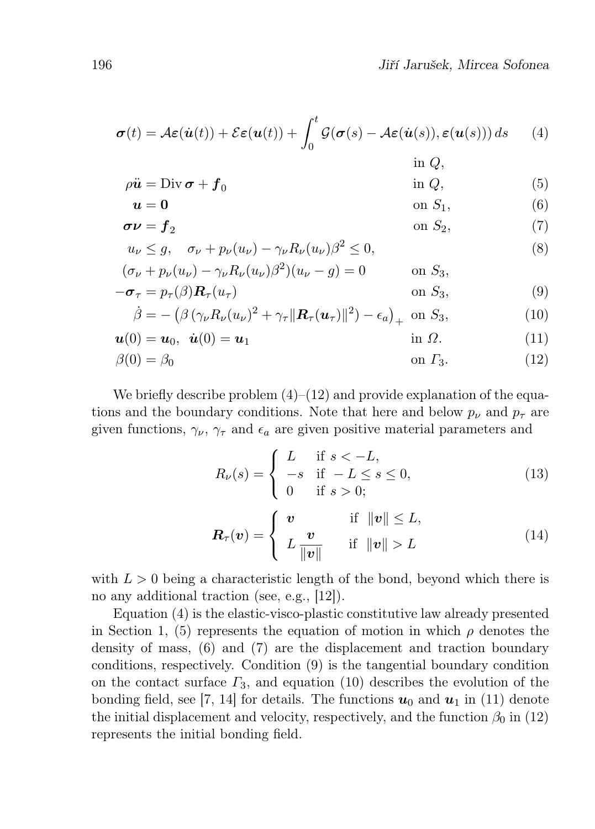$$
\boldsymbol{\sigma}(t) = \mathcal{A}\boldsymbol{\varepsilon}(\dot{\boldsymbol{u}}(t)) + \mathcal{E}\boldsymbol{\varepsilon}(\boldsymbol{u}(t)) + \int_0^t \mathcal{G}(\boldsymbol{\sigma}(s) - \mathcal{A}\boldsymbol{\varepsilon}(\dot{\boldsymbol{u}}(s)), \boldsymbol{\varepsilon}(\boldsymbol{u}(s))) ds \qquad (4)
$$
  
in *Q*,

$$
\rho \ddot{\mathbf{u}} = \text{Div}\,\boldsymbol{\sigma} + \boldsymbol{f}_0 \tag{5}
$$

$$
u = 0 \qquad \qquad \text{on } S_1,\tag{6}
$$

$$
\sigma \nu = f_2 \qquad \qquad \text{on } S_2,\tag{7}
$$

$$
u_{\nu} \le g, \quad \sigma_{\nu} + p_{\nu}(u_{\nu}) - \gamma_{\nu} R_{\nu}(u_{\nu}) \beta^2 \le 0,
$$
  

$$
(\sigma + n_{\nu}(u)) - \gamma_{\nu} R_{\nu}(u_{\nu}) \beta^2 \gamma(u_{\nu} - a) = 0 \qquad \text{on } S.
$$
 (8)

$$
(\sigma_{\nu} + p_{\nu}(u_{\nu}) - \gamma_{\nu}R_{\nu}(u_{\nu})\beta^2)(u_{\nu} - g) = 0 \qquad \text{on } S_3,
$$
  

$$
-\sigma_{\tau} = p_{\tau}(\beta)\mathbf{R}_{\tau}(u_{\tau}) \qquad \text{on } S_3,
$$
 (9)

$$
\dot{\beta} = -\left(\beta \left(\gamma_{\nu} R_{\nu}(u_{\nu})^2 + \gamma_{\tau} \|\mathbf{R}_{\tau}(u_{\tau})\|^2\right) - \epsilon_a\right)_{+} \text{ on } S_3,
$$
\n(10)

$$
\mathbf{u}(0) = \mathbf{u}_0, \quad \dot{\mathbf{u}}(0) = \mathbf{u}_1 \tag{11}
$$

$$
\beta(0) = \beta_0 \qquad \text{on } \Gamma_3. \tag{12}
$$

We briefly describe problem  $(4)$ – $(12)$  and provide explanation of the equations and the boundary conditions. Note that here and below  $p_{\nu}$  and  $p_{\tau}$  are given functions,  $\gamma_{\nu}$ ,  $\gamma_{\tau}$  and  $\epsilon_a$  are given positive material parameters and

$$
R_{\nu}(s) = \begin{cases} L & \text{if } s < -L, \\ -s & \text{if } -L \le s \le 0, \\ 0 & \text{if } s > 0; \end{cases}
$$
 (13)

$$
\boldsymbol{R}_{\tau}(\boldsymbol{v}) = \begin{cases} \boldsymbol{v} & \text{if } \|\boldsymbol{v}\| \leq L, \\ L \frac{\boldsymbol{v}}{\|\boldsymbol{v}\|} & \text{if } \|\boldsymbol{v}\| > L \end{cases} \tag{14}
$$

with  $L > 0$  being a characteristic length of the bond, beyond which there is no any additional traction (see, e.g., [12]).

Equation (4) is the elastic-visco-plastic constitutive law already presented in Section 1, (5) represents the equation of motion in which  $\rho$  denotes the density of mass, (6) and (7) are the displacement and traction boundary conditions, respectively. Condition (9) is the tangential boundary condition on the contact surface  $\Gamma_3$ , and equation (10) describes the evolution of the bonding field, see [7, 14] for details. The functions  $u_0$  and  $u_1$  in (11) denote the initial displacement and velocity, respectively, and the function  $\beta_0$  in (12) represents the initial bonding field.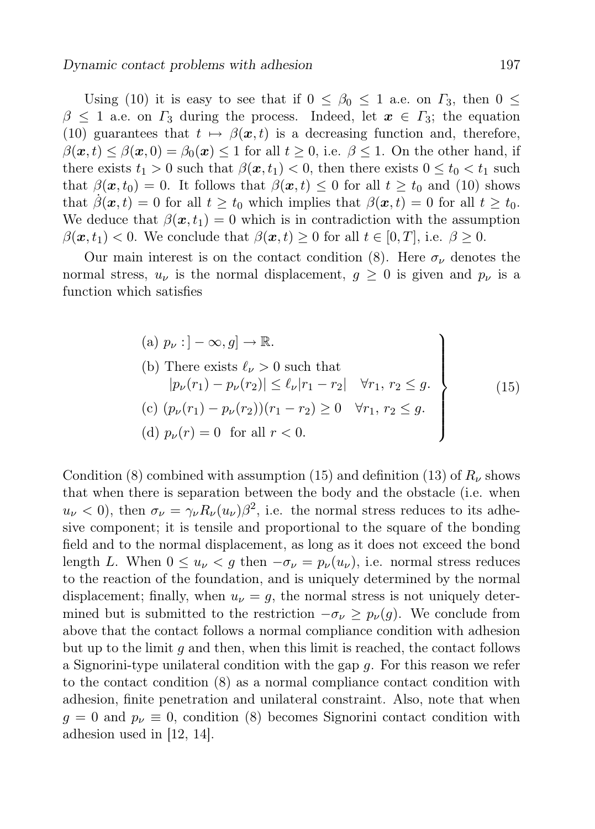Using (10) it is easy to see that if  $0 \leq \beta_0 \leq 1$  a.e. on  $\Gamma_3$ , then  $0 \leq$  $\beta \leq 1$  a.e. on  $\Gamma_3$  during the process. Indeed, let  $x \in \Gamma_3$ ; the equation (10) guarantees that  $t \mapsto \beta(x, t)$  is a decreasing function and, therefore,  $\beta(\mathbf{x}, t) \leq \beta(\mathbf{x}, 0) = \beta_0(\mathbf{x}) \leq 1$  for all  $t \geq 0$ , i.e.  $\beta \leq 1$ . On the other hand, if there exists  $t_1 > 0$  such that  $\beta(x, t_1) < 0$ , then there exists  $0 \le t_0 < t_1$  such that  $\beta(\mathbf{x}, t_0) = 0$ . It follows that  $\beta(\mathbf{x}, t) \leq 0$  for all  $t \geq t_0$  and (10) shows that  $\hat{\beta}(\boldsymbol{x},t) = 0$  for all  $t \geq t_0$  which implies that  $\beta(\boldsymbol{x},t) = 0$  for all  $t \geq t_0$ . We deduce that  $\beta(x, t_1) = 0$  which is in contradiction with the assumption  $\beta(\mathbf{x}, t_1) < 0$ . We conclude that  $\beta(\mathbf{x}, t) \geq 0$  for all  $t \in [0, T]$ , i.e.  $\beta \geq 0$ .

Our main interest is on the contact condition (8). Here  $\sigma_{\nu}$  denotes the normal stress,  $u_{\nu}$  is the normal displacement,  $g \geq 0$  is given and  $p_{\nu}$  is a function which satisfies

(a) 
$$
p_{\nu}: ] - \infty, g] \to \mathbb{R}
$$
.  
\n(b) There exists  $\ell_{\nu} > 0$  such that  
\n $|p_{\nu}(r_1) - p_{\nu}(r_2)| \leq \ell_{\nu}|r_1 - r_2| \quad \forall r_1, r_2 \leq g.$   
\n(c)  $(p_{\nu}(r_1) - p_{\nu}(r_2))(r_1 - r_2) \geq 0 \quad \forall r_1, r_2 \leq g.$   
\n(d)  $p_{\nu}(r) = 0$  for all  $r < 0$ .

Condition (8) combined with assumption (15) and definition (13) of  $R_\nu$  shows that when there is separation between the body and the obstacle (i.e. when  $u_{\nu} < 0$ , then  $\sigma_{\nu} = \gamma_{\nu} R_{\nu}(u_{\nu}) \beta^2$ , i.e. the normal stress reduces to its adhesive component; it is tensile and proportional to the square of the bonding field and to the normal displacement, as long as it does not exceed the bond length L. When  $0 \leq u_{\nu} \leq g$  then  $-\sigma_{\nu} = p_{\nu}(u_{\nu})$ , i.e. normal stress reduces to the reaction of the foundation, and is uniquely determined by the normal displacement; finally, when  $u_{\nu} = g$ , the normal stress is not uniquely determined but is submitted to the restriction  $-\sigma_{\nu} \geq p_{\nu}(g)$ . We conclude from above that the contact follows a normal compliance condition with adhesion but up to the limit  $g$  and then, when this limit is reached, the contact follows a Signorini-type unilateral condition with the gap g. For this reason we refer to the contact condition (8) as a normal compliance contact condition with adhesion, finite penetration and unilateral constraint. Also, note that when  $g = 0$  and  $p_{\nu} \equiv 0$ , condition (8) becomes Signorini contact condition with adhesion used in [12, 14].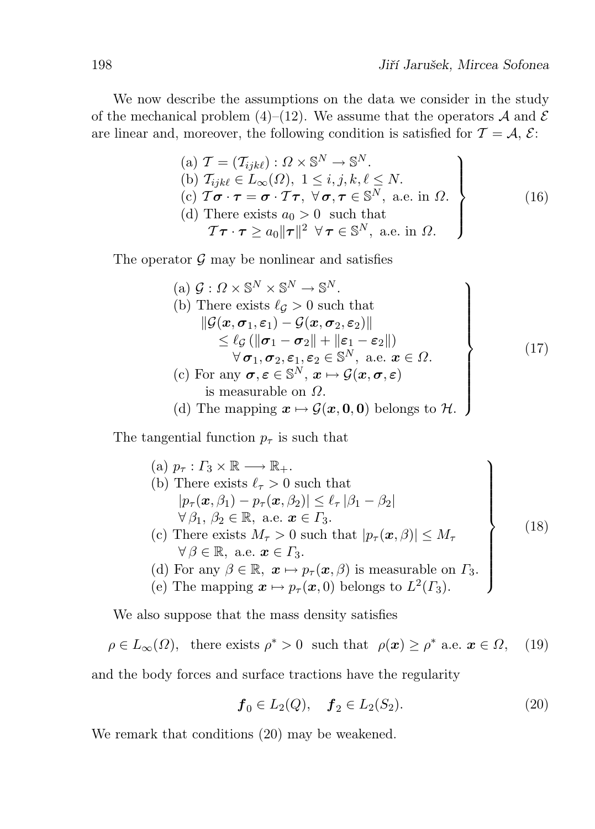We now describe the assumptions on the data we consider in the study of the mechanical problem (4)–(12). We assume that the operators  $A$  and  $E$ are linear and, moreover, the following condition is satisfied for  $\mathcal{T} = \mathcal{A}, \mathcal{E}$ :

(a) 
$$
\mathcal{T} = (\mathcal{T}_{ijk\ell}) : \Omega \times \mathbb{S}^N \to \mathbb{S}^N
$$
.  
\n(b)  $\mathcal{T}_{ijk\ell} \in L_{\infty}(\Omega), 1 \leq i, j, k, \ell \leq N$ .  
\n(c)  $\mathcal{T}\boldsymbol{\sigma} \cdot \boldsymbol{\tau} = \boldsymbol{\sigma} \cdot \mathcal{T}\boldsymbol{\tau}, \ \forall \boldsymbol{\sigma}, \boldsymbol{\tau} \in \mathbb{S}^N, \text{ a.e. in } \Omega$ .  
\n(d) There exists  $a_0 > 0$  such that  
\n $\mathcal{T}\boldsymbol{\tau} \cdot \boldsymbol{\tau} \geq a_0 ||\boldsymbol{\tau}||^2 \ \forall \boldsymbol{\tau} \in \mathbb{S}^N, \text{ a.e. in } \Omega$ .

The operator  $\mathcal G$  may be nonlinear and satisfies

(a) 
$$
G: \Omega \times \mathbb{S}^{N} \times \mathbb{S}^{N} \to \mathbb{S}^{N}.
$$
  
\n(b) There exists  $\ell_{\mathcal{G}} > 0$  such that  
\n
$$
\|\mathcal{G}(x, \sigma_{1}, \varepsilon_{1}) - \mathcal{G}(x, \sigma_{2}, \varepsilon_{2})\|
$$
\n
$$
\leq \ell_{\mathcal{G}}(\|\sigma_{1} - \sigma_{2}\| + \|\varepsilon_{1} - \varepsilon_{2}\|)
$$
\n
$$
\forall \sigma_{1}, \sigma_{2}, \varepsilon_{1}, \varepsilon_{2} \in \mathbb{S}^{N}, \text{ a.e. } x \in \Omega.
$$
  
\n(c) For any  $\sigma, \varepsilon \in \mathbb{S}^{N}, x \mapsto \mathcal{G}(x, \sigma, \varepsilon)$   
\nis measurable on  $\Omega$ .  
\n(d) The mapping  $x \mapsto \mathcal{G}(x, 0, 0)$  belongs to  $\mathcal{H}$ .

The tangential function  $p_{\tau}$  is such that

\n- (a) 
$$
p_{\tau} : \Gamma_3 \times \mathbb{R} \longrightarrow \mathbb{R}_+
$$
.
\n- (b) There exists  $\ell_{\tau} > 0$  such that  $|p_{\tau}(\boldsymbol{x}, \beta_1) - p_{\tau}(\boldsymbol{x}, \beta_2)| \leq \ell_{\tau} |\beta_1 - \beta_2|$   $\forall \beta_1, \beta_2 \in \mathbb{R}, \text{ a.e. } \boldsymbol{x} \in \Gamma_3.$
\n- (c) There exists  $M_{\tau} > 0$  such that  $|p_{\tau}(\boldsymbol{x}, \beta)| \leq M_{\tau}$   $\forall \beta \in \mathbb{R}, \text{ a.e. } \boldsymbol{x} \in \Gamma_3.$
\n- (d) For any  $\beta \in \mathbb{R}, \boldsymbol{x} \mapsto p_{\tau}(\boldsymbol{x}, \beta)$  is measurable on  $\Gamma_3$ .
\n- (e) The mapping  $\boldsymbol{x} \mapsto p_{\tau}(\boldsymbol{x}, 0)$  belongs to  $L^2(\Gamma_3)$ .
\n

We also suppose that the mass density satisfies

$$
\rho \in L_{\infty}(\Omega)
$$
, there exists  $\rho^* > 0$  such that  $\rho(x) \ge \rho^*$  a.e.  $x \in \Omega$ , (19)

and the body forces and surface tractions have the regularity

$$
\boldsymbol{f}_0 \in L_2(Q), \quad \boldsymbol{f}_2 \in L_2(S_2). \tag{20}
$$

We remark that conditions (20) may be weakened.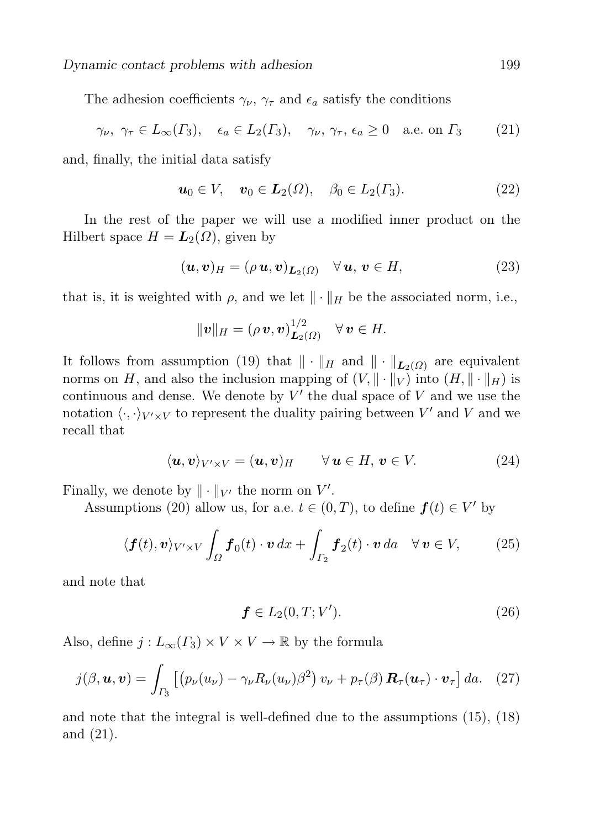The adhesion coefficients  $\gamma_{\nu}, \gamma_{\tau}$  and  $\epsilon_a$  satisfy the conditions

$$
\gamma_{\nu}, \gamma_{\tau} \in L_{\infty}(\Gamma_3), \epsilon_a \in L_2(\Gamma_3), \gamma_{\nu}, \gamma_{\tau}, \epsilon_a \ge 0 \text{ a.e. on } \Gamma_3
$$
 (21)

and, finally, the initial data satisfy

$$
u_0 \in V, \quad v_0 \in L_2(\Omega), \quad \beta_0 \in L_2(\Gamma_3). \tag{22}
$$

In the rest of the paper we will use a modified inner product on the Hilbert space  $H = L_2(\Omega)$ , given by

$$
(\boldsymbol{u},\boldsymbol{v})_H = (\rho \,\boldsymbol{u},\boldsymbol{v})_{\boldsymbol{L}_2(\Omega)} \quad \forall \,\boldsymbol{u},\,\boldsymbol{v} \in H,\tag{23}
$$

that is, it is weighted with  $\rho$ , and we let  $\|\cdot\|_H$  be the associated norm, i.e.,

$$
\|\mathbf{v}\|_{H}=(\rho\,\mathbf{v},\mathbf{v})_{\mathbf{L}_{2}(\Omega)}^{1/2}\quad\forall\,\mathbf{v}\in H.
$$

It follows from assumption (19) that  $\|\cdot\|_H$  and  $\|\cdot\|_{L_2(\Omega)}$  are equivalent norms on H, and also the inclusion mapping of  $(V, \|\cdot\|_V)$  into  $(H, \|\cdot\|_H)$  is continuous and dense. We denote by  $V'$  the dual space of V and we use the notation  $\langle \cdot, \cdot \rangle_{V' \times V}$  to represent the duality pairing between  $V'$  and V and we recall that

$$
\langle \mathbf{u}, \mathbf{v} \rangle_{V' \times V} = (\mathbf{u}, \mathbf{v})_H \qquad \forall \, \mathbf{u} \in H, \, \mathbf{v} \in V. \tag{24}
$$

Finally, we denote by  $\|\cdot\|_{V'}$  the norm on  $V'.$ 

Assumptions (20) allow us, for a.e.  $t \in (0, T)$ , to define  $f(t) \in V'$  by

$$
\langle \boldsymbol{f}(t), \boldsymbol{v} \rangle_{V' \times V} \int_{\Omega} \boldsymbol{f}_0(t) \cdot \boldsymbol{v} \, dx + \int_{\Gamma_2} \boldsymbol{f}_2(t) \cdot \boldsymbol{v} \, da \quad \forall \, \boldsymbol{v} \in V, \tag{25}
$$

and note that

$$
\mathbf{f} \in L_2(0, T; V'). \tag{26}
$$

Also, define  $j: L_{\infty}(\Gamma_3) \times V \times V \to \mathbb{R}$  by the formula

$$
j(\beta, \boldsymbol{u}, \boldsymbol{v}) = \int_{\Gamma_3} \left[ \left( p_\nu(u_\nu) - \gamma_\nu R_\nu(u_\nu) \beta^2 \right) v_\nu + p_\tau(\beta) \, \boldsymbol{R}_\tau(\boldsymbol{u}_\tau) \cdot \boldsymbol{v}_\tau \right] da. \tag{27}
$$

and note that the integral is well-defined due to the assumptions (15), (18) and (21).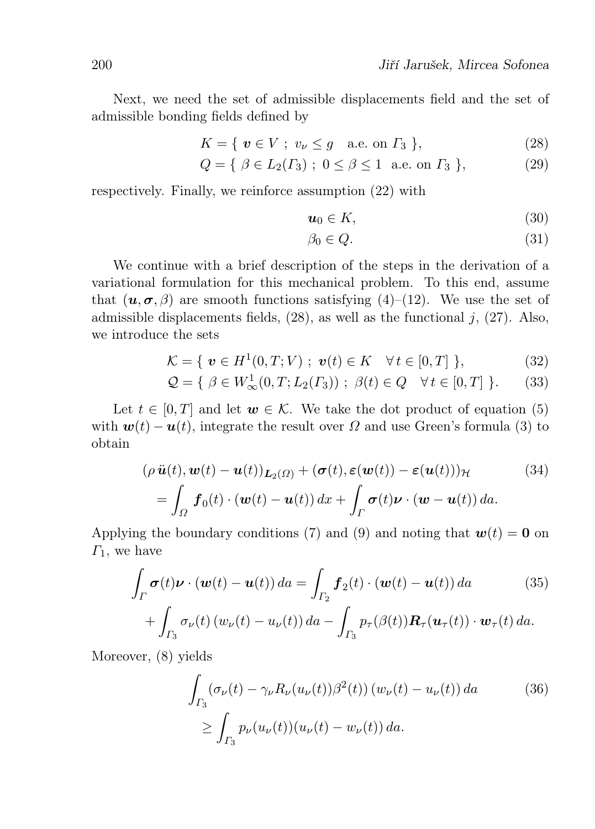Next, we need the set of admissible displacements field and the set of admissible bonding fields defined by

$$
K = \{ \boldsymbol{v} \in V ; v_{\nu} \le g \quad \text{a.e. on } \Gamma_3 \},\tag{28}
$$

$$
Q = \{ \ \beta \in L_2(\Gamma_3) \ ; \ 0 \le \beta \le 1 \ \text{a.e. on } \Gamma_3 \ \},
$$
 (29)

respectively. Finally, we reinforce assumption (22) with

$$
u_0 \in K,\tag{30}
$$

$$
\beta_0 \in Q. \tag{31}
$$

We continue with a brief description of the steps in the derivation of a variational formulation for this mechanical problem. To this end, assume that  $(u, \sigma, \beta)$  are smooth functions satisfying (4)–(12). We use the set of admissible displacements fields,  $(28)$ , as well as the functional j,  $(27)$ . Also, we introduce the sets

$$
\mathcal{K} = \{ \ \mathbf{v} \in H^1(0, T; V) \ ; \ \mathbf{v}(t) \in K \quad \forall \, t \in [0, T] \ \}, \tag{32}
$$

$$
\mathcal{Q} = \{ \ \beta \in W^1_{\infty}(0, T; L_2(\Gamma_3)) \ ; \ \beta(t) \in Q \quad \forall t \in [0, T] \ \}.
$$
 (33)

Let  $t \in [0, T]$  and let  $w \in \mathcal{K}$ . We take the dot product of equation (5) with  $w(t) - u(t)$ , integrate the result over  $\Omega$  and use Green's formula (3) to obtain

$$
(\rho \ddot{\boldsymbol{u}}(t), \boldsymbol{w}(t) - \boldsymbol{u}(t))_{\boldsymbol{L}_2(\Omega)} + (\boldsymbol{\sigma}(t), \boldsymbol{\varepsilon}(\boldsymbol{w}(t)) - \boldsymbol{\varepsilon}(\boldsymbol{u}(t)))_{\mathcal{H}} \qquad (34)
$$
  
= 
$$
\int_{\Omega} \boldsymbol{f}_0(t) \cdot (\boldsymbol{w}(t) - \boldsymbol{u}(t)) dx + \int_{\Gamma} \boldsymbol{\sigma}(t) \boldsymbol{\nu} \cdot (\boldsymbol{w} - \boldsymbol{u}(t)) da.
$$

Applying the boundary conditions (7) and (9) and noting that  $w(t) = 0$  on  $\Gamma_1$ , we have

$$
\int_{\Gamma} \sigma(t)\nu \cdot (\boldsymbol{w}(t) - \boldsymbol{u}(t)) da = \int_{\Gamma_2} \boldsymbol{f}_2(t) \cdot (\boldsymbol{w}(t) - \boldsymbol{u}(t)) da \qquad (35)
$$

$$
+ \int_{\Gamma_3} \sigma_{\nu}(t) \left( w_{\nu}(t) - u_{\nu}(t) \right) da - \int_{\Gamma_3} p_{\tau}(\beta(t)) \boldsymbol{R}_{\tau}(\boldsymbol{u}_{\tau}(t)) \cdot \boldsymbol{w}_{\tau}(t) da.
$$

Moreover, (8) yields

$$
\int_{\Gamma_3} (\sigma_\nu(t) - \gamma_\nu R_\nu(u_\nu(t))\beta^2(t)) (w_\nu(t) - u_\nu(t)) da \qquad (36)
$$

$$
\geq \int_{\Gamma_3} p_\nu(u_\nu(t)) (u_\nu(t) - w_\nu(t)) da.
$$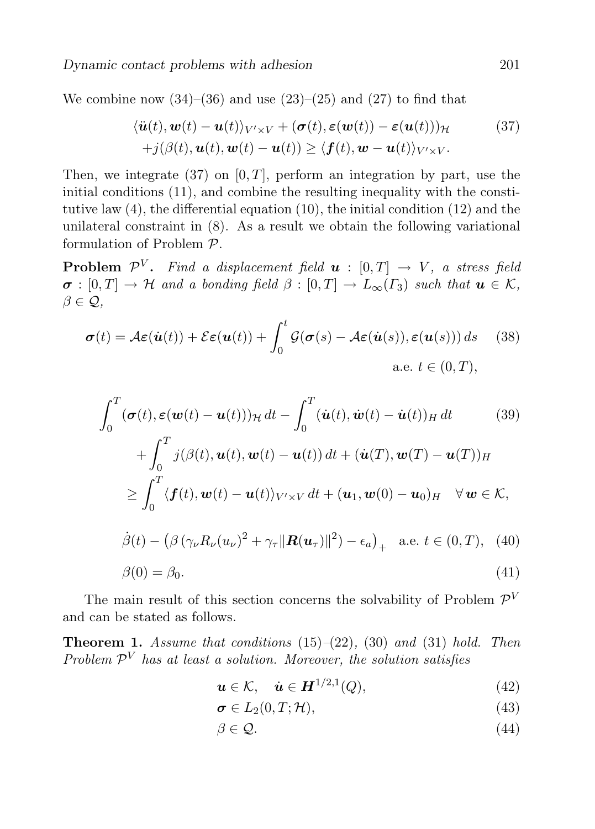We combine now  $(34)$ – $(36)$  and use  $(23)$ – $(25)$  and  $(27)$  to find that

$$
\langle \ddot{\boldsymbol{u}}(t), \boldsymbol{w}(t) - \boldsymbol{u}(t) \rangle_{V' \times V} + (\boldsymbol{\sigma}(t), \boldsymbol{\varepsilon}(\boldsymbol{w}(t)) - \boldsymbol{\varepsilon}(\boldsymbol{u}(t)))_{\mathcal{H}} \qquad (37)
$$
  
+ $j(\beta(t), \boldsymbol{u}(t), \boldsymbol{w}(t) - \boldsymbol{u}(t)) \ge \langle \boldsymbol{f}(t), \boldsymbol{w} - \boldsymbol{u}(t) \rangle_{V' \times V}.$ 

Then, we integrate (37) on  $[0, T]$ , perform an integration by part, use the initial conditions (11), and combine the resulting inequality with the constitutive law (4), the differential equation (10), the initial condition (12) and the unilateral constraint in (8). As a result we obtain the following variational formulation of Problem P.

**Problem**  $\mathcal{P}^V$ . Find a displacement field  $\boldsymbol{u}$  :  $[0,T] \rightarrow V$ , a stress field  $\sigma : [0, T] \to \mathcal{H}$  and a bonding field  $\beta : [0, T] \to L_{\infty}(T_3)$  such that  $u \in \mathcal{K}$ ,  $\beta \in \mathcal{Q}$ ,

$$
\boldsymbol{\sigma}(t) = \mathcal{A}\boldsymbol{\varepsilon}(\dot{\boldsymbol{u}}(t)) + \mathcal{E}\boldsymbol{\varepsilon}(\boldsymbol{u}(t)) + \int_0^t \mathcal{G}(\boldsymbol{\sigma}(s) - \mathcal{A}\boldsymbol{\varepsilon}(\dot{\boldsymbol{u}}(s)), \boldsymbol{\varepsilon}(\boldsymbol{u}(s))) ds \quad (38)
$$
  
a.e.  $t \in (0, T)$ ,

$$
\int_0^T (\boldsymbol{\sigma}(t), \boldsymbol{\varepsilon}(\boldsymbol{w}(t) - \boldsymbol{u}(t)))_{\mathcal{H}} dt - \int_0^T (\dot{\boldsymbol{u}}(t), \dot{\boldsymbol{w}}(t) - \dot{\boldsymbol{u}}(t))_{H} dt \qquad (39)
$$
  
+ 
$$
\int_0^T j(\beta(t), \boldsymbol{u}(t), \boldsymbol{w}(t) - \boldsymbol{u}(t)) dt + (\dot{\boldsymbol{u}}(T), \boldsymbol{w}(T) - \boldsymbol{u}(T))_{H}
$$
  

$$
\geq \int_0^T \langle \boldsymbol{f}(t), \boldsymbol{w}(t) - \boldsymbol{u}(t) \rangle_{V' \times V} dt + (\boldsymbol{u}_1, \boldsymbol{w}(0) - \boldsymbol{u}_0)_{H} \quad \forall \, \boldsymbol{w} \in \mathcal{K},
$$

$$
\dot{\beta}(t) - \left(\beta \left(\gamma_{\nu} R_{\nu}(u_{\nu})^2 + \gamma_{\tau} \|\mathbf{R}(u_{\tau})\|^2\right) - \epsilon_a\right)_{+} \quad \text{a.e. } t \in (0, T), \tag{40}
$$

$$
\beta(0) = \beta_0. \tag{41}
$$

The main result of this section concerns the solvability of Problem  $\mathcal{P}^V$ and can be stated as follows.

**Theorem 1.** Assume that conditions  $(15)$ – $(22)$ ,  $(30)$  and  $(31)$  hold. Then Problem  $\mathcal{P}^V$  has at least a solution. Moreover, the solution satisfies

$$
\mathbf{u} \in \mathcal{K}, \quad \dot{\mathbf{u}} \in \mathbf{H}^{1/2,1}(Q),\tag{42}
$$

$$
\sigma \in L_2(0, T; \mathcal{H}), \tag{43}
$$

$$
\beta \in \mathcal{Q}.\tag{44}
$$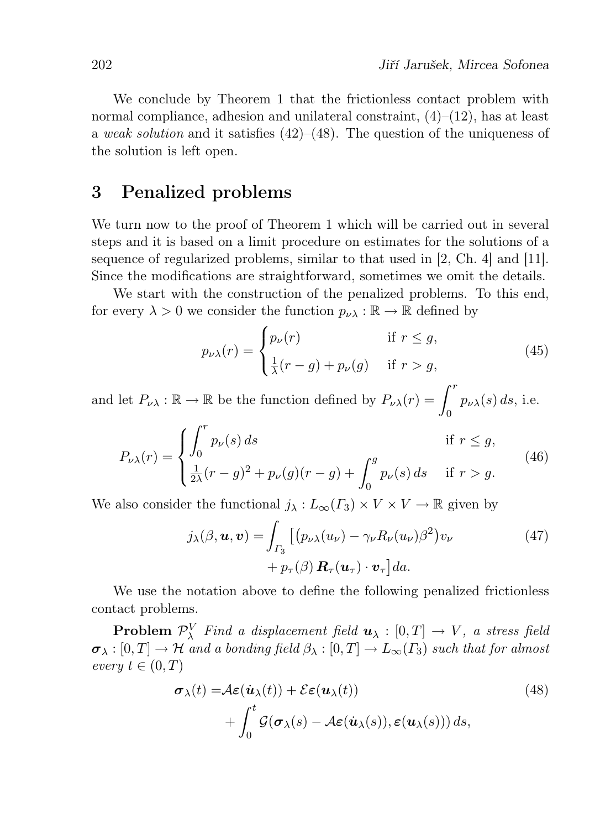We conclude by Theorem 1 that the frictionless contact problem with normal compliance, adhesion and unilateral constraint,  $(4)$ – $(12)$ , has at least a weak solution and it satisfies  $(42)$ – $(48)$ . The question of the uniqueness of the solution is left open.

#### 3 Penalized problems

We turn now to the proof of Theorem 1 which will be carried out in several steps and it is based on a limit procedure on estimates for the solutions of a sequence of regularized problems, similar to that used in [2, Ch. 4] and [11]. Since the modifications are straightforward, sometimes we omit the details.

We start with the construction of the penalized problems. To this end, for every  $\lambda > 0$  we consider the function  $p_{\nu\lambda} : \mathbb{R} \to \mathbb{R}$  defined by

$$
p_{\nu\lambda}(r) = \begin{cases} p_{\nu}(r) & \text{if } r \le g, \\ \frac{1}{\lambda}(r-g) + p_{\nu}(g) & \text{if } r > g, \end{cases}
$$
 (45)

and let  $P_{\nu\lambda} : \mathbb{R} \to \mathbb{R}$  be the function defined by  $P_{\nu\lambda}(r) = \int^r$  $\boldsymbol{0}$  $p_{\nu\lambda}(s)\,ds,$  i.e.

$$
P_{\nu\lambda}(r) = \begin{cases} \int_0^r p_{\nu}(s) ds & \text{if } r \le g, \\ \frac{1}{2\lambda}(r-g)^2 + p_{\nu}(g)(r-g) + \int_0^g p_{\nu}(s) ds & \text{if } r > g. \end{cases}
$$
(46)

We also consider the functional  $j_{\lambda}: L_{\infty}(\Gamma_3) \times V \times V \to \mathbb{R}$  given by

$$
j_{\lambda}(\beta, \boldsymbol{u}, \boldsymbol{v}) = \int_{\Gamma_3} \left[ \left( p_{\nu\lambda}(u_{\nu}) - \gamma_{\nu} R_{\nu}(u_{\nu}) \beta^2 \right) v_{\nu} + p_{\tau}(\beta) \, \mathbf{R}_{\tau}(\boldsymbol{u}_{\tau}) \cdot \boldsymbol{v}_{\tau} \right] da. \tag{47}
$$

We use the notation above to define the following penalized frictionless contact problems.

**Problem**  $\mathcal{P}_{\lambda}^{V}$  Find a displacement field  $u_{\lambda} : [0, T] \rightarrow V$ , a stress field  $\sigma_{\lambda}: [0,T] \to \mathcal{H}$  and a bonding field  $\beta_{\lambda}: [0,T] \to L_{\infty}(\Gamma_3)$  such that for almost every  $t \in (0, T)$ 

$$
\sigma_{\lambda}(t) = \mathcal{A}\varepsilon(\dot{\boldsymbol{u}}_{\lambda}(t)) + \mathcal{E}\varepsilon(\boldsymbol{u}_{\lambda}(t)) + \int_0^t \mathcal{G}(\boldsymbol{\sigma}_{\lambda}(s) - \mathcal{A}\varepsilon(\dot{\boldsymbol{u}}_{\lambda}(s)), \varepsilon(\boldsymbol{u}_{\lambda}(s))) ds,
$$
\n(48)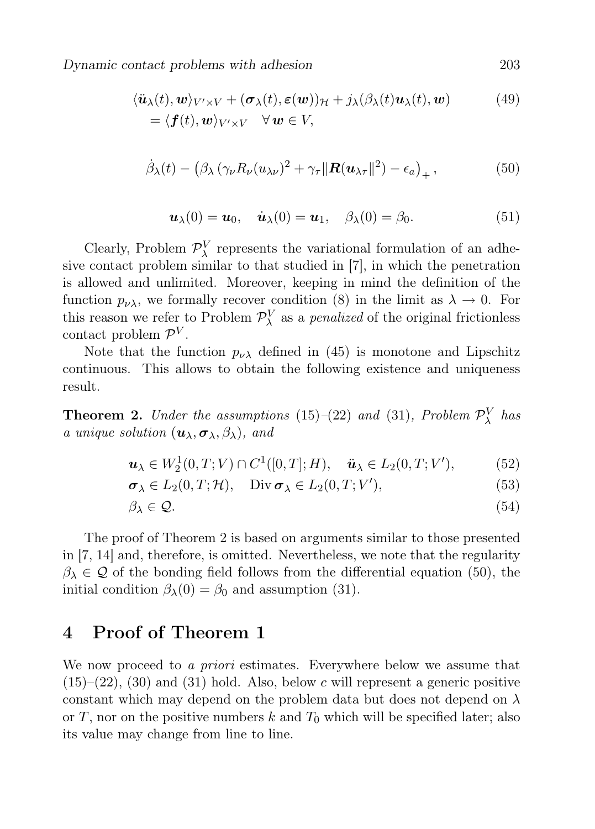Dynamic contact problems with adhesion 203

$$
\langle \ddot{\boldsymbol{u}}_{\lambda}(t), \boldsymbol{w} \rangle_{V' \times V} + (\boldsymbol{\sigma}_{\lambda}(t), \boldsymbol{\varepsilon}(\boldsymbol{w}))_{\mathcal{H}} + j_{\lambda}(\beta_{\lambda}(t)\boldsymbol{u}_{\lambda}(t), \boldsymbol{w})
$$
(49)  
=  $\langle \boldsymbol{f}(t), \boldsymbol{w} \rangle_{V' \times V} \quad \forall \boldsymbol{w} \in V$ ,

$$
\dot{\beta}_{\lambda}(t) - \left(\beta_{\lambda} \left(\gamma_{\nu} R_{\nu}(u_{\lambda \nu})^2 + \gamma_{\tau} \|\mathbf{R}(u_{\lambda \tau}\|^2) - \epsilon_a\right)_{+},\right) \tag{50}
$$

$$
\boldsymbol{u}_{\lambda}(0) = \boldsymbol{u}_0, \quad \dot{\boldsymbol{u}}_{\lambda}(0) = \boldsymbol{u}_1, \quad \beta_{\lambda}(0) = \beta_0.
$$
 (51)

Clearly, Problem  $\mathcal{P}_{\lambda}^{V}$  represents the variational formulation of an adhesive contact problem similar to that studied in [7], in which the penetration is allowed and unlimited. Moreover, keeping in mind the definition of the function  $p_{\nu\lambda}$ , we formally recover condition (8) in the limit as  $\lambda \to 0$ . For this reason we refer to Problem  $\mathcal{P}_{\lambda}^{V}$  as a *penalized* of the original frictionless contact problem  $\mathcal{P}^V$ .

Note that the function  $p_{\nu\lambda}$  defined in (45) is monotone and Lipschitz continuous. This allows to obtain the following existence and uniqueness result.

**Theorem 2.** Under the assumptions (15)–(22) and (31), Problem  $\mathcal{P}_{\lambda}^{V}$  has a unique solution  $(\boldsymbol{u}_{\lambda}, \boldsymbol{\sigma}_{\lambda}, \beta_{\lambda})$ , and

$$
\mathbf{u}_{\lambda} \in W_2^1(0,T;V) \cap C^1([0,T];H), \quad \ddot{\mathbf{u}}_{\lambda} \in L_2(0,T;V'), \tag{52}
$$

$$
\sigma_{\lambda} \in L_2(0, T; \mathcal{H}), \quad \text{Div}\,\sigma_{\lambda} \in L_2(0, T; V'), \tag{53}
$$

$$
\beta_{\lambda} \in \mathcal{Q}.\tag{54}
$$

The proof of Theorem 2 is based on arguments similar to those presented in [7, 14] and, therefore, is omitted. Nevertheless, we note that the regularity  $\beta_{\lambda} \in \mathcal{Q}$  of the bonding field follows from the differential equation (50), the initial condition  $\beta_{\lambda}(0) = \beta_0$  and assumption (31).

## 4 Proof of Theorem 1

We now proceed to a *priori* estimates. Everywhere below we assume that  $(15)-(22)$ ,  $(30)$  and  $(31)$  hold. Also, below c will represent a generic positive constant which may depend on the problem data but does not depend on  $\lambda$ or T, nor on the positive numbers k and  $T_0$  which will be specified later; also its value may change from line to line.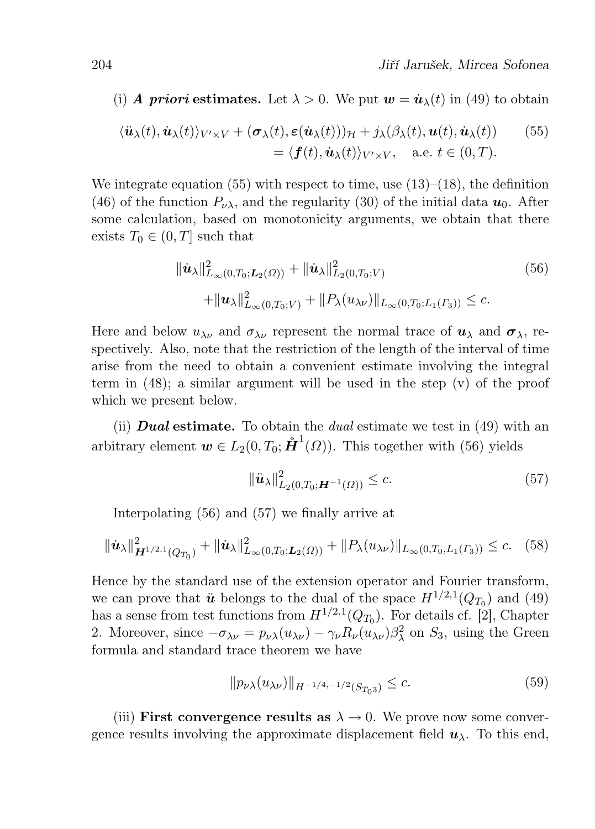(i) A priori estimates. Let  $\lambda > 0$ . We put  $w = \dot{u}_{\lambda}(t)$  in (49) to obtain

$$
\langle \ddot{\mathbf{u}}_{\lambda}(t), \dot{\mathbf{u}}_{\lambda}(t) \rangle_{V' \times V} + (\boldsymbol{\sigma}_{\lambda}(t), \boldsymbol{\varepsilon}(\dot{\mathbf{u}}_{\lambda}(t)))_{\mathcal{H}} + j_{\lambda}(\beta_{\lambda}(t), \mathbf{u}(t), \dot{\mathbf{u}}_{\lambda}(t)) \qquad (55) = \langle \boldsymbol{f}(t), \dot{\mathbf{u}}_{\lambda}(t) \rangle_{V' \times V}, \quad \text{a.e. } t \in (0, T).
$$

We integrate equation  $(55)$  with respect to time, use  $(13)$ – $(18)$ , the definition (46) of the function  $P_{\nu\lambda}$ , and the regularity (30) of the initial data  $u_0$ . After some calculation, based on monotonicity arguments, we obtain that there exists  $T_0 \in (0, T]$  such that

$$
\|\dot{\mathbf{u}}_{\lambda}\|_{L_{\infty}(0,T_0; \mathbf{L}_2(\Omega))}^2 + \|\dot{\mathbf{u}}_{\lambda}\|_{L_2(0,T_0; V)}^2
$$
\n
$$
+ \|\mathbf{u}_{\lambda}\|_{L_{\infty}(0,T_0; V)}^2 + \|P_{\lambda}(u_{\lambda \nu})\|_{L_{\infty}(0,T_0; L_1(\Gamma_3))} \leq c.
$$
\n(56)

Here and below  $u_{\lambda\nu}$  and  $\sigma_{\lambda\nu}$  represent the normal trace of  $u_{\lambda}$  and  $\sigma_{\lambda}$ , respectively. Also, note that the restriction of the length of the interval of time arise from the need to obtain a convenient estimate involving the integral term in  $(48)$ ; a similar argument will be used in the step  $(v)$  of the proof which we present below.

(ii) **Dual estimate.** To obtain the *dual* estimate we test in  $(49)$  with an arbitrary element  $\mathbf{w} \in L_2(0, T_0; \mathbf{\hat{H}}^1(\Omega))$ . This together with (56) yields

$$
\|\ddot{\mathbf{u}}_{\lambda}\|_{L_2(0,T_0; \mathbf{H}^{-1}(\Omega))}^2 \le c. \tag{57}
$$

Interpolating (56) and (57) we finally arrive at

$$
\|\dot{\mathbf{u}}_{\lambda}\|_{\mathbf{H}^{1/2,1}(Q_{T_0})}^2 + \|\dot{\mathbf{u}}_{\lambda}\|_{L_{\infty}(0,T_0; \mathbf{L}_2(\Omega))}^2 + \|P_{\lambda}(u_{\lambda\nu})\|_{L_{\infty}(0,T_0; \mathbf{L}_1(\Gamma_3))} \leq c. \tag{58}
$$

Hence by the standard use of the extension operator and Fourier transform, we can prove that  $\ddot{u}$  belongs to the dual of the space  $H^{1/2,1}(Q_{T_0})$  and (49) has a sense from test functions from  $H^{1/2,1}(Q_{T_0})$ . For details cf. [2], Chapter 2. Moreover, since  $-\sigma_{\lambda\nu} = p_{\nu\lambda}(u_{\lambda\nu}) - \gamma_{\nu}R_{\nu}(u_{\lambda\nu})\beta_{\lambda}^2$  on  $S_3$ , using the Green formula and standard trace theorem we have

$$
||p_{\nu\lambda}(u_{\lambda\nu})||_{H^{-1/4,-1/2}(S_{T_03})} \leq c. \tag{59}
$$

(iii) First convergence results as  $\lambda \to 0$ . We prove now some convergence results involving the approximate displacement field  $u_\lambda$ . To this end,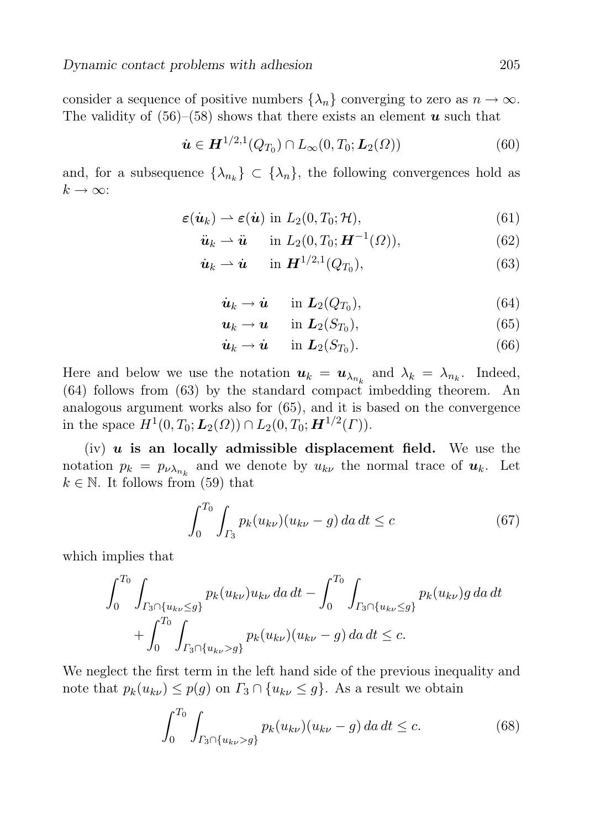consider a sequence of positive numbers  $\{\lambda_n\}$  converging to zero as  $n \to \infty$ . The validity of  $(56)$ – $(58)$  shows that there exists an element u such that

$$
\dot{\mathbf{u}} \in \mathbf{H}^{1/2,1}(Q_{T_0}) \cap L_{\infty}(0,T_0;\mathbf{L}_2(\Omega))
$$
\n(60)

and, for a subsequence  $\{\lambda_{n_k}\}\subset \{\lambda_n\}$ , the following convergences hold as  $k \to \infty$ :

$$
\boldsymbol{\varepsilon}(\dot{\boldsymbol{u}}_k) \boldsymbol{\rightharpoonup} \boldsymbol{\varepsilon}(\dot{\boldsymbol{u}}) \text{ in } L_2(0, T_0; \mathcal{H}), \tag{61}
$$

$$
\ddot{\boldsymbol{u}}_k \rightharpoonup \ddot{\boldsymbol{u}} \quad \text{in } L_2(0, T_0; \boldsymbol{H}^{-1}(\Omega)), \tag{62}
$$

$$
\dot{\boldsymbol{u}}_k \rightharpoonup \dot{\boldsymbol{u}} \quad \text{in } \boldsymbol{H}^{1/2,1}(Q_{T_0}), \tag{63}
$$

$$
\dot{\boldsymbol{u}}_k \to \dot{\boldsymbol{u}} \quad \text{in } \boldsymbol{L}_2(Q_{T_0}), \tag{64}
$$

$$
\mathbf{u}_k \to \mathbf{u} \quad \text{in } \mathbf{L}_2(S_{T_0}), \tag{65}
$$

$$
\dot{\boldsymbol{u}}_k \to \dot{\boldsymbol{u}} \quad \text{in } \boldsymbol{L}_2(S_{T_0}). \tag{66}
$$

Here and below we use the notation  $u_k = u_{\lambda_{n_k}}$  and  $\lambda_k = \lambda_{n_k}$ . Indeed,  $(64)$  follows from  $(63)$  by the standard compact imbedding theorem. An analogous argument works also for (65), and it is based on the convergence in the space  $H^1(0, T_0; L_2(\Omega)) \cap L_2(0, T_0; \mathbf{H}^{1/2}(\Gamma)).$ 

(iv)  $u$  is an locally admissible displacement field. We use the notation  $p_k = p_{\nu \lambda_{n_k}}$  and we denote by  $u_{k\nu}$  the normal trace of  $u_k$ . Let  $k \in \mathbb{N}$ . It follows from (59) that

$$
\int_{0}^{T_0} \int_{\Gamma_3} p_k(u_{k\nu})(u_{k\nu} - g) \, da \, dt \le c \tag{67}
$$

which implies that

$$
\int_0^{T_0} \int_{\Gamma_3 \cap \{u_{k\nu} \le g\}} p_k(u_{k\nu}) u_{k\nu} \, da \, dt - \int_0^{T_0} \int_{\Gamma_3 \cap \{u_{k\nu} \le g\}} p_k(u_{k\nu}) g \, da \, dt + \int_0^{T_0} \int_{\Gamma_3 \cap \{u_{k\nu} > g\}} p_k(u_{k\nu}) (u_{k\nu} - g) \, da \, dt \le c.
$$

We neglect the first term in the left hand side of the previous inequality and note that  $p_k(u_{k\nu}) \leq p(g)$  on  $\Gamma_3 \cap \{u_{k\nu} \leq g\}$ . As a result we obtain

$$
\int_0^{T_0} \int_{\Gamma_3 \cap \{u_{k\nu} > g\}} p_k(u_{k\nu})(u_{k\nu} - g) \, da \, dt \le c. \tag{68}
$$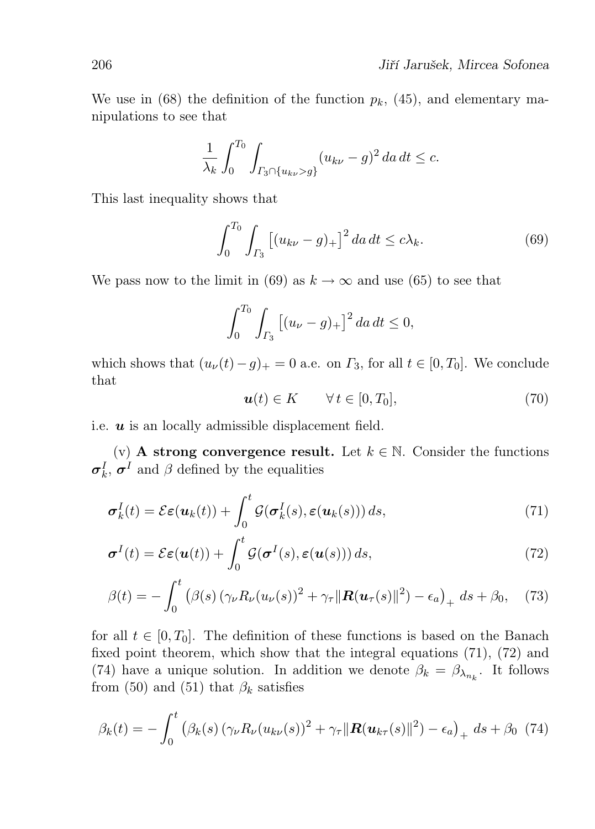We use in (68) the definition of the function  $p_k$ , (45), and elementary manipulations to see that

$$
\frac{1}{\lambda_k} \int_0^{T_0} \int_{\Gamma_3 \cap \{u_{k\nu} > g\}} (u_{k\nu} - g)^2 \, da \, dt \leq c.
$$

This last inequality shows that

$$
\int_0^{T_0} \int_{\Gamma_3} \left[ (u_{k\nu} - g)_+ \right]^2 da \, dt \le c\lambda_k. \tag{69}
$$

We pass now to the limit in (69) as  $k \to \infty$  and use (65) to see that

$$
\int_0^{T_0} \int_{\Gamma_3} \left[ (u_\nu - g)_+ \right]^2 da \, dt \le 0,
$$

which shows that  $(u_{\nu}(t)-g)_{+}=0$  a.e. on  $\Gamma_3$ , for all  $t \in [0, T_0]$ . We conclude that

$$
\mathbf{u}(t) \in K \qquad \forall \, t \in [0, T_0], \tag{70}
$$

i.e.  $u$  is an locally admissible displacement field.

(v) **A** strong convergence result. Let  $k \in \mathbb{N}$ . Consider the functions  $\sigma_k^I$ ,  $\sigma^I$  and  $\beta$  defined by the equalities

$$
\boldsymbol{\sigma}_k^I(t) = \mathcal{E}\boldsymbol{\varepsilon}(\boldsymbol{u}_k(t)) + \int_0^t \mathcal{G}(\boldsymbol{\sigma}_k^I(s), \boldsymbol{\varepsilon}(\boldsymbol{u}_k(s))) ds,
$$
\n(71)

$$
\boldsymbol{\sigma}^{I}(t) = \mathcal{E}\boldsymbol{\varepsilon}(\boldsymbol{u}(t)) + \int_{0}^{t} \mathcal{G}(\boldsymbol{\sigma}^{I}(s), \boldsymbol{\varepsilon}(\boldsymbol{u}(s))) ds,
$$
\n(72)

$$
\beta(t) = -\int_0^t \left( \beta(s) \left( \gamma_\nu R_\nu(u_\nu(s))^2 + \gamma_\tau \|\mathbf{R}(u_\tau(s)\|^2) - \epsilon_a \right)_+ ds + \beta_0, \quad (73)
$$

for all  $t \in [0, T_0]$ . The definition of these functions is based on the Banach fixed point theorem, which show that the integral equations (71), (72) and (74) have a unique solution. In addition we denote  $\beta_k = \beta_{\lambda_{n_k}}$ . It follows from (50) and (51) that  $\beta_k$  satisfies

$$
\beta_k(t) = -\int_0^t (\beta_k(s) (\gamma_\nu R_\nu(u_{k\nu}(s))^2 + \gamma_\tau ||\mathbf{R}(u_{k\tau}(s)||^2) - \epsilon_a)_+ ds + \beta_0 \tag{74}
$$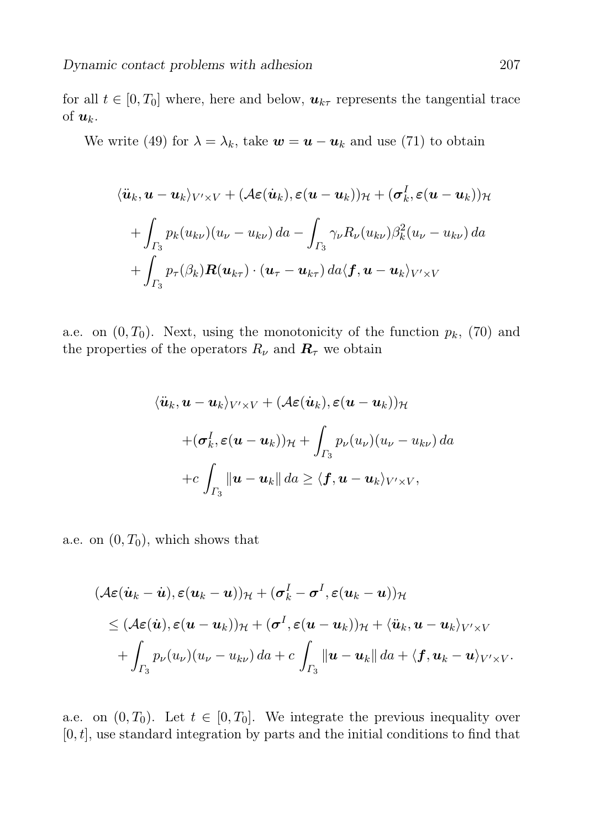for all  $t \in [0, T_0]$  where, here and below,  $u_{k\tau}$  represents the tangential trace of  $u_k$ .

We write (49) for  $\lambda = \lambda_k$ , take  $\mathbf{w} = \mathbf{u} - \mathbf{u}_k$  and use (71) to obtain

$$
\langle \ddot{\boldsymbol{u}}_k, \boldsymbol{u} - \boldsymbol{u}_k \rangle_{V' \times V} + (\mathcal{A}\boldsymbol{\varepsilon}(\dot{\boldsymbol{u}}_k), \boldsymbol{\varepsilon}(\boldsymbol{u} - \boldsymbol{u}_k))_{\mathcal{H}} + (\sigma_k^I, \boldsymbol{\varepsilon}(\boldsymbol{u} - \boldsymbol{u}_k))_{\mathcal{H}}
$$

$$
+ \int_{\Gamma_3} p_k(u_{k\nu})(u_{\nu} - u_{k\nu}) da - \int_{\Gamma_3} \gamma_{\nu} R_{\nu}(u_{k\nu}) \beta_k^2(u_{\nu} - u_{k\nu}) da
$$

$$
+ \int_{\Gamma_3} p_{\tau}(\beta_k) \boldsymbol{R}(\boldsymbol{u}_{k\tau}) \cdot (\boldsymbol{u}_{\tau} - \boldsymbol{u}_{k\tau}) da \langle \boldsymbol{f}, \boldsymbol{u} - \boldsymbol{u}_k \rangle_{V' \times V}
$$

a.e. on  $(0, T_0)$ . Next, using the monotonicity of the function  $p_k$ , (70) and the properties of the operators  $R_{\nu}$  and  $\boldsymbol{R}_{\tau}$  we obtain

$$
\langle \ddot{\boldsymbol{u}}_k, \boldsymbol{u} - \boldsymbol{u}_k \rangle_{V' \times V} + (\mathcal{A}\boldsymbol{\varepsilon}(\dot{\boldsymbol{u}}_k), \boldsymbol{\varepsilon}(\boldsymbol{u} - \boldsymbol{u}_k))_{\mathcal{H}}
$$

$$
+ (\boldsymbol{\sigma}_k^I, \boldsymbol{\varepsilon}(\boldsymbol{u} - \boldsymbol{u}_k))_{\mathcal{H}} + \int_{\Gamma_3} p_{\nu}(u_{\nu})(u_{\nu} - u_{k\nu}) da
$$

$$
+ c \int_{\Gamma_3} \|\boldsymbol{u} - \boldsymbol{u}_k\| da \ge \langle \boldsymbol{f}, \boldsymbol{u} - \boldsymbol{u}_k \rangle_{V' \times V},
$$

a.e. on  $(0, T_0)$ , which shows that

$$
(\mathcal{A}\varepsilon(\dot{\boldsymbol{u}}_k-\dot{\boldsymbol{u}}), \varepsilon(\boldsymbol{u}_k-\boldsymbol{u}))_{\mathcal{H}}+(\boldsymbol{\sigma}_k^I-\boldsymbol{\sigma}^I, \varepsilon(\boldsymbol{u}_k-\boldsymbol{u}))_{\mathcal{H}}
$$
  
\n
$$
\leq (\mathcal{A}\varepsilon(\dot{\boldsymbol{u}}), \varepsilon(\boldsymbol{u}-\boldsymbol{u}_k))_{\mathcal{H}}+(\boldsymbol{\sigma}^I, \varepsilon(\boldsymbol{u}-\boldsymbol{u}_k))_{\mathcal{H}}+\langle \ddot{\boldsymbol{u}}_k, \boldsymbol{u}-\boldsymbol{u}_k \rangle_{V' \times V}
$$
  
\n
$$
+\int_{\Gamma_3} p_{\nu}(u_{\nu})(u_{\nu}-u_{k\nu}) da + c \int_{\Gamma_3} \|\boldsymbol{u}-\boldsymbol{u}_k\| da + \langle \boldsymbol{f}, \boldsymbol{u}_k-\boldsymbol{u} \rangle_{V' \times V}.
$$

a.e. on  $(0, T_0)$ . Let  $t \in [0, T_0]$ . We integrate the previous inequality over  $[0, t]$ , use standard integration by parts and the initial conditions to find that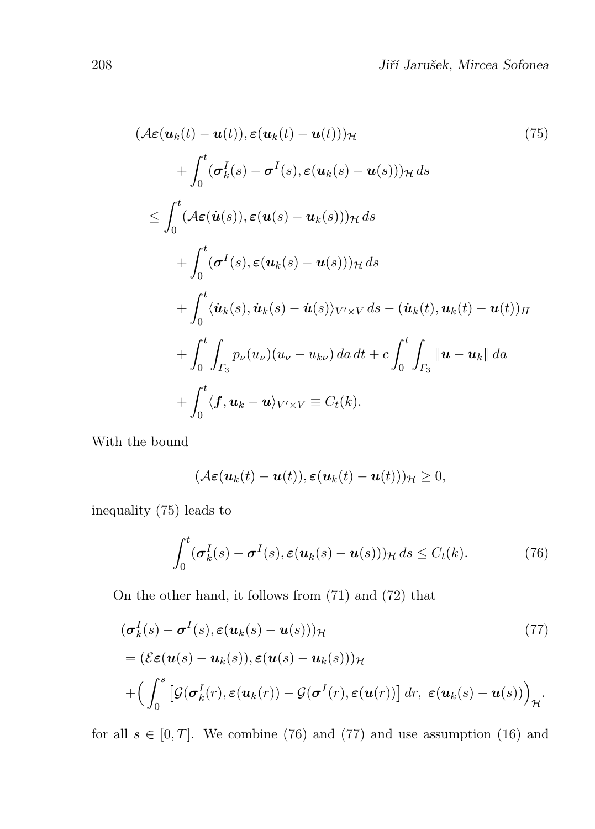$$
(\mathcal{A}\varepsilon(\mathbf{u}_k(t) - \mathbf{u}(t)), \varepsilon(\mathbf{u}_k(t) - \mathbf{u}(t)))_{\mathcal{H}}
$$
\n
$$
+ \int_0^t (\sigma_k^I(s) - \sigma^I(s), \varepsilon(\mathbf{u}_k(s) - \mathbf{u}(s)))_{\mathcal{H}} ds
$$
\n
$$
\leq \int_0^t (\mathcal{A}\varepsilon(\dot{\mathbf{u}}(s)), \varepsilon(\mathbf{u}(s) - \mathbf{u}_k(s)))_{\mathcal{H}} ds
$$
\n
$$
+ \int_0^t (\sigma^I(s), \varepsilon(\mathbf{u}_k(s) - \mathbf{u}(s)))_{\mathcal{H}} ds
$$
\n
$$
+ \int_0^t \langle \dot{\mathbf{u}}_k(s), \dot{\mathbf{u}}_k(s) - \dot{\mathbf{u}}(s) \rangle_{V' \times V} ds - (\dot{\mathbf{u}}_k(t), \mathbf{u}_k(t) - \mathbf{u}(t))_{\mathcal{H}}
$$
\n
$$
+ \int_0^t \int_{\Gamma_3} p_\nu(u_\nu)(u_\nu - u_{k\nu}) da dt + c \int_0^t \int_{\Gamma_3} ||\mathbf{u} - \mathbf{u}_k|| da
$$
\n
$$
+ \int_0^t \langle \mathbf{f}, \mathbf{u}_k - \mathbf{u} \rangle_{V' \times V} \equiv C_t(k).
$$
\n(75)

With the bound

$$
(\mathcal{A}\boldsymbol{\varepsilon}(\boldsymbol{u}_k(t)-\boldsymbol{u}(t)),\boldsymbol{\varepsilon}(\boldsymbol{u}_k(t)-\boldsymbol{u}(t)))_{\mathcal{H}}\geq 0,
$$

inequality (75) leads to

$$
\int_0^t (\boldsymbol{\sigma}_k^I(s) - \boldsymbol{\sigma}^I(s), \boldsymbol{\varepsilon}(\boldsymbol{u}_k(s) - \boldsymbol{u}(s)))_{\mathcal{H}} ds \le C_t(k). \tag{76}
$$

On the other hand, it follows from (71) and (72) that

$$
(\sigma_k^I(s) - \sigma^I(s), \varepsilon(\mathbf{u}_k(s) - \mathbf{u}(s)))_{\mathcal{H}}
$$
  
=\left(\mathcal{E}\varepsilon(\mathbf{u}(s) - \mathbf{u}\_k(s)), \varepsilon(\mathbf{u}(s) - \mathbf{u}\_k(s)))\_{\mathcal{H}}  
+
$$
\left(\int_0^s \left[\mathcal{G}(\sigma_k^I(r), \varepsilon(\mathbf{u}_k(r)) - \mathcal{G}(\sigma^I(r), \varepsilon(\mathbf{u}(r))\right) dr, \varepsilon(\mathbf{u}_k(s) - \mathbf{u}(s))\right)_{\mathcal{H}}.
$$
 (77)

for all  $s \in [0, T]$ . We combine (76) and (77) and use assumption (16) and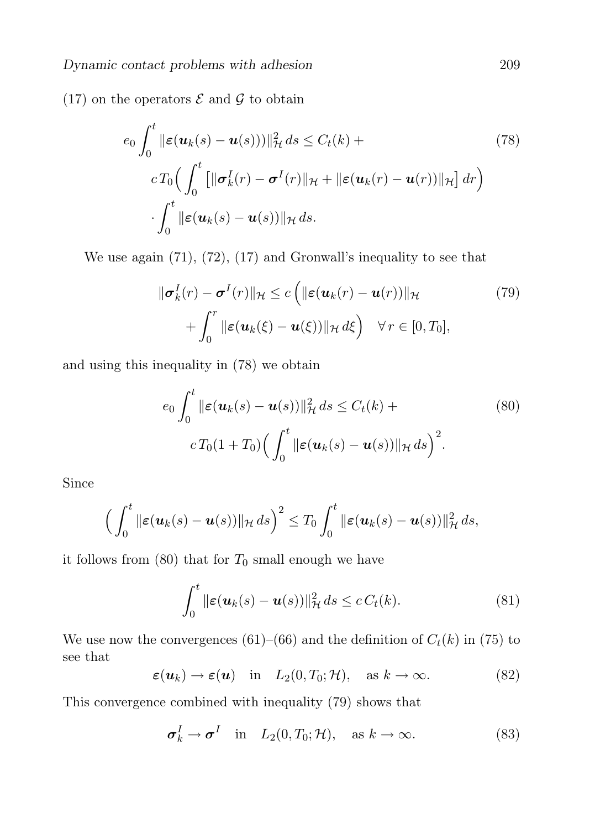(17) on the operators  $\mathcal E$  and  $\mathcal G$  to obtain

$$
e_0 \int_0^t \|\varepsilon(\mathbf{u}_k(s) - \mathbf{u}(s)))\|_{\mathcal{H}}^2 ds \le C_t(k) +
$$
  
\n
$$
cT_0 \Big( \int_0^t \big[ \|\boldsymbol{\sigma}_k^I(r) - \boldsymbol{\sigma}^I(r)\|_{\mathcal{H}} + \|\varepsilon(\mathbf{u}_k(r) - \mathbf{u}(r))\|_{\mathcal{H}} \big] dr \Big)
$$
  
\n
$$
\cdot \int_0^t \|\varepsilon(\mathbf{u}_k(s) - \mathbf{u}(s))\|_{\mathcal{H}} ds.
$$
\n(78)

We use again (71), (72), (17) and Gronwall's inequality to see that

$$
\|\boldsymbol{\sigma}_k^I(r) - \boldsymbol{\sigma}^I(r)\|_{\mathcal{H}} \le c \left( \|\boldsymbol{\varepsilon}(\boldsymbol{u}_k(r) - \boldsymbol{u}(r))\|_{\mathcal{H}} \right) \qquad (79)
$$
  
+ 
$$
\int_0^r \|\boldsymbol{\varepsilon}(\boldsymbol{u}_k(\xi) - \boldsymbol{u}(\xi))\|_{\mathcal{H}} d\xi \right) \quad \forall r \in [0, T_0],
$$

and using this inequality in (78) we obtain

$$
e_0 \int_0^t \|\boldsymbol{\varepsilon}(\boldsymbol{u}_k(s) - \boldsymbol{u}(s))\|_{\mathcal{H}}^2 ds \le C_t(k) +
$$
  

$$
c T_0(1 + T_0) \Big( \int_0^t \|\boldsymbol{\varepsilon}(\boldsymbol{u}_k(s) - \boldsymbol{u}(s))\|_{\mathcal{H}} ds \Big)^2.
$$
 (80)

Since

$$
\Big(\int_0^t \|\boldsymbol{\varepsilon}(\boldsymbol{u}_k(s)-\boldsymbol{u}(s))\|_{\mathcal{H}} ds\Big)^2 \leq T_0 \int_0^t \|\boldsymbol{\varepsilon}(\boldsymbol{u}_k(s)-\boldsymbol{u}(s))\|_{\mathcal{H}}^2 ds,
$$

it follows from  $(80)$  that for  $T_0$  small enough we have

$$
\int_0^t \|\boldsymbol{\varepsilon}(\boldsymbol{u}_k(s)-\boldsymbol{u}(s))\|_{\mathcal{H}}^2 ds \le c C_t(k). \tag{81}
$$

We use now the convergences (61)–(66) and the definition of  $C_t(k)$  in (75) to see that

$$
\varepsilon(\mathbf{u}_k) \to \varepsilon(\mathbf{u})
$$
 in  $L_2(0,T_0;\mathcal{H})$ , as  $k \to \infty$ . (82)

This convergence combined with inequality (79) shows that

$$
\sigma_k^I \to \sigma^I \quad \text{in} \quad L_2(0, T_0; \mathcal{H}), \quad \text{as } k \to \infty. \tag{83}
$$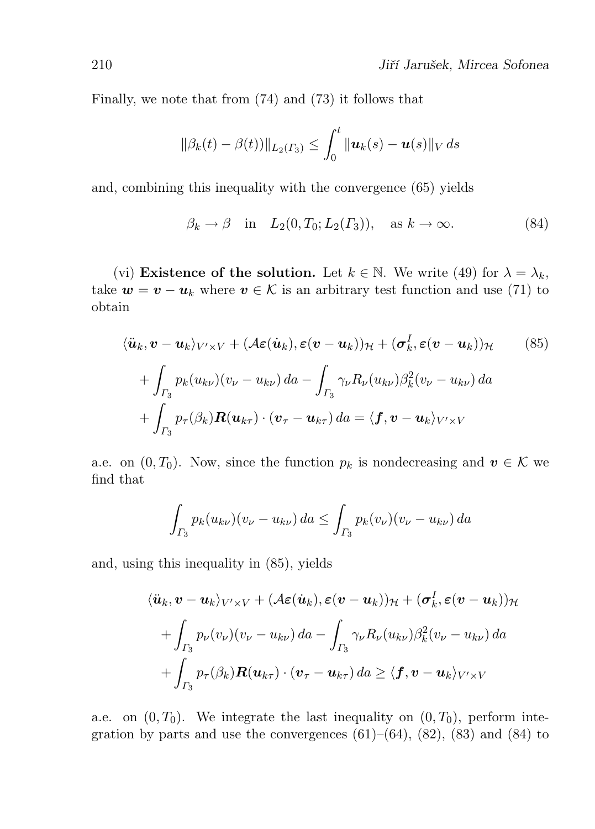Finally, we note that from (74) and (73) it follows that

$$
\|\beta_k(t) - \beta(t))\|_{L_2(\Gamma_3)} \le \int_0^t \|\mathbf{u}_k(s) - \mathbf{u}(s)\|_V \, ds
$$

and, combining this inequality with the convergence (65) yields

$$
\beta_k \to \beta \quad \text{in} \quad L_2(0, T_0; L_2(\Gamma_3)), \quad \text{as } k \to \infty. \tag{84}
$$

(vi) Existence of the solution. Let  $k \in \mathbb{N}$ . We write (49) for  $\lambda = \lambda_k$ , take  $w = v - u_k$  where  $v \in \mathcal{K}$  is an arbitrary test function and use (71) to obtain

$$
\langle \ddot{\boldsymbol{u}}_k, \boldsymbol{v} - \boldsymbol{u}_k \rangle_{V' \times V} + (\mathcal{A}\boldsymbol{\varepsilon}(\dot{\boldsymbol{u}}_k), \boldsymbol{\varepsilon}(\boldsymbol{v} - \boldsymbol{u}_k))_{\mathcal{H}} + (\boldsymbol{\sigma}_k^I, \boldsymbol{\varepsilon}(\boldsymbol{v} - \boldsymbol{u}_k))_{\mathcal{H}} \qquad (85)
$$

$$
+ \int_{\Gamma_3} p_k(u_{k\nu})(v_{\nu} - u_{k\nu}) da - \int_{\Gamma_3} \gamma_{\nu} R_{\nu}(u_{k\nu}) \beta_k^2(v_{\nu} - u_{k\nu}) da
$$

$$
+ \int_{\Gamma_3} p_{\tau}(\beta_k) \boldsymbol{R}(\boldsymbol{u}_{k\tau}) \cdot (\boldsymbol{v}_{\tau} - \boldsymbol{u}_{k\tau}) da = \langle \boldsymbol{f}, \boldsymbol{v} - \boldsymbol{u}_k \rangle_{V' \times V}
$$

a.e. on  $(0, T_0)$ . Now, since the function  $p_k$  is nondecreasing and  $v \in \mathcal{K}$  we find that

$$
\int_{\Gamma_3} p_k(u_{k\nu})(v_{\nu} - u_{k\nu}) da \le \int_{\Gamma_3} p_k(v_{\nu})(v_{\nu} - u_{k\nu}) da
$$

and, using this inequality in (85), yields

$$
\langle \ddot{\boldsymbol{u}}_k, \boldsymbol{v} - \boldsymbol{u}_k \rangle_{V' \times V} + (\mathcal{A}\boldsymbol{\varepsilon}(\dot{\boldsymbol{u}}_k), \boldsymbol{\varepsilon}(\boldsymbol{v} - \boldsymbol{u}_k))_{\mathcal{H}} + (\boldsymbol{\sigma}_k^I, \boldsymbol{\varepsilon}(\boldsymbol{v} - \boldsymbol{u}_k))_{\mathcal{H}}
$$

$$
+ \int_{\Gamma_3} p_{\nu}(v_{\nu})(v_{\nu} - u_{\kappa\nu}) da - \int_{\Gamma_3} \gamma_{\nu} R_{\nu}(u_{\kappa\nu}) \beta_k^2(v_{\nu} - u_{\kappa\nu}) da
$$

$$
+ \int_{\Gamma_3} p_{\tau}(\beta_k) \boldsymbol{R}(\boldsymbol{u}_{k\tau}) \cdot (\boldsymbol{v}_{\tau} - \boldsymbol{u}_{k\tau}) da \ge \langle \boldsymbol{f}, \boldsymbol{v} - \boldsymbol{u}_k \rangle_{V' \times V}
$$

a.e. on  $(0, T_0)$ . We integrate the last inequality on  $(0, T_0)$ , perform integration by parts and use the convergences  $(61)$ – $(64)$ ,  $(82)$ ,  $(83)$  and  $(84)$  to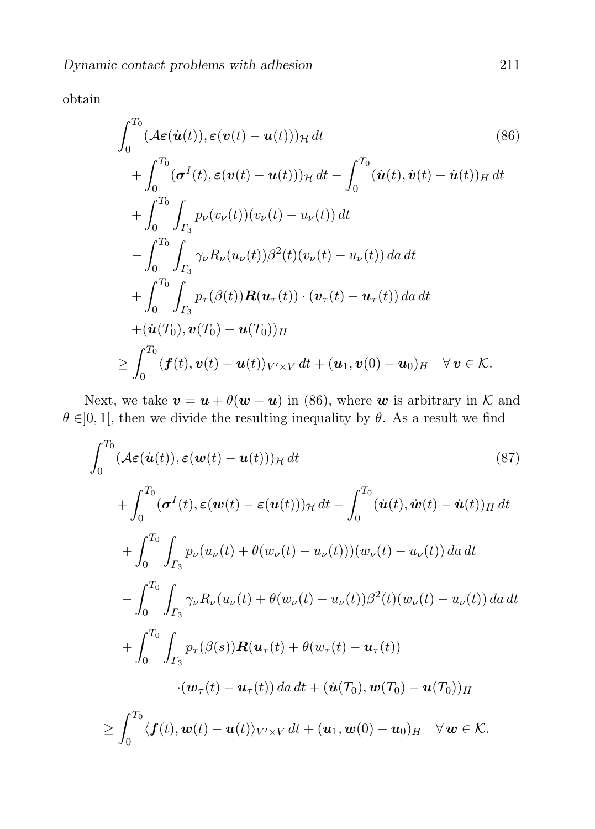obtain

$$
\int_{0}^{T_0} (\mathcal{A}\varepsilon(\dot{u}(t)), \varepsilon(v(t) - u(t)))_{\mathcal{H}} dt \qquad (86)
$$
  
+ 
$$
\int_{0}^{T_0} (\sigma^I(t), \varepsilon(v(t) - u(t)))_{\mathcal{H}} dt - \int_{0}^{T_0} (\dot{u}(t), \dot{v}(t) - \dot{u}(t))_{H} dt
$$
  
+ 
$$
\int_{0}^{T_0} \int_{\Gamma_3} p_{\nu}(v_{\nu}(t)) (v_{\nu}(t) - u_{\nu}(t)) dt
$$
  
- 
$$
\int_{0}^{T_0} \int_{\Gamma_3} \gamma_{\nu} R_{\nu}(u_{\nu}(t)) \beta^2(t) (v_{\nu}(t) - u_{\nu}(t)) da dt
$$
  
+ 
$$
\int_{0}^{T_0} \int_{\Gamma_3} p_{\tau}(\beta(t)) R(u_{\tau}(t)) \cdot (v_{\tau}(t) - u_{\tau}(t)) da dt
$$
  
+ 
$$
(\dot{u}(T_0), v(T_0) - u(T_0))_{H}
$$
  

$$
\geq \int_{0}^{T_0} \langle f(t), v(t) - u(t) \rangle_{V' \times V} dt + (u_1, v(0) - u_0)_{H} \quad \forall v \in \mathcal{K}.
$$

Next, we take  $v = u + \theta(w - u)$  in (86), where w is arbitrary in K and  $\theta \in ]0,1[$ , then we divide the resulting inequality by  $\theta$ . As a result we find

$$
\int_{0}^{T_0} (\mathcal{A}\varepsilon(\dot{u}(t)), \varepsilon(\boldsymbol{w}(t) - \boldsymbol{u}(t)))_{\mathcal{H}} dt \qquad (87)
$$
\n
$$
+ \int_{0}^{T_0} (\sigma^I(t), \varepsilon(\boldsymbol{w}(t) - \varepsilon(\boldsymbol{u}(t)))_{\mathcal{H}} dt - \int_{0}^{T_0} (\dot{u}(t), \dot{\boldsymbol{w}}(t) - \dot{u}(t))_{H} dt
$$
\n
$$
+ \int_{0}^{T_0} \int_{\Gamma_3} p_{\nu}(u_{\nu}(t) + \theta(w_{\nu}(t) - u_{\nu}(t))) (w_{\nu}(t) - u_{\nu}(t)) da dt
$$
\n
$$
- \int_{0}^{T_0} \int_{\Gamma_3} \gamma_{\nu} R_{\nu}(u_{\nu}(t) + \theta(w_{\nu}(t) - u_{\nu}(t)))^2 (t) (w_{\nu}(t) - u_{\nu}(t)) da dt
$$
\n
$$
+ \int_{0}^{T_0} \int_{\Gamma_3} p_{\tau}(\beta(s)) \mathbf{R}(\boldsymbol{u}_{\tau}(t) + \theta(w_{\tau}(t) - \boldsymbol{u}_{\tau}(t))
$$
\n
$$
\cdot (\boldsymbol{w}_{\tau}(t) - \boldsymbol{u}_{\tau}(t)) da dt + (\dot{\boldsymbol{u}}(T_0), \boldsymbol{w}(T_0) - \boldsymbol{u}(T_0))_{H}
$$
\n
$$
\geq \int_{0}^{T_0} \langle \boldsymbol{f}(t), \boldsymbol{w}(t) - \boldsymbol{u}(t) \rangle_{V' \times V} dt + (\boldsymbol{u}_1, \boldsymbol{w}(0) - \boldsymbol{u}_0)_{H} \quad \forall \boldsymbol{w} \in \mathcal{K}.
$$
\n(87)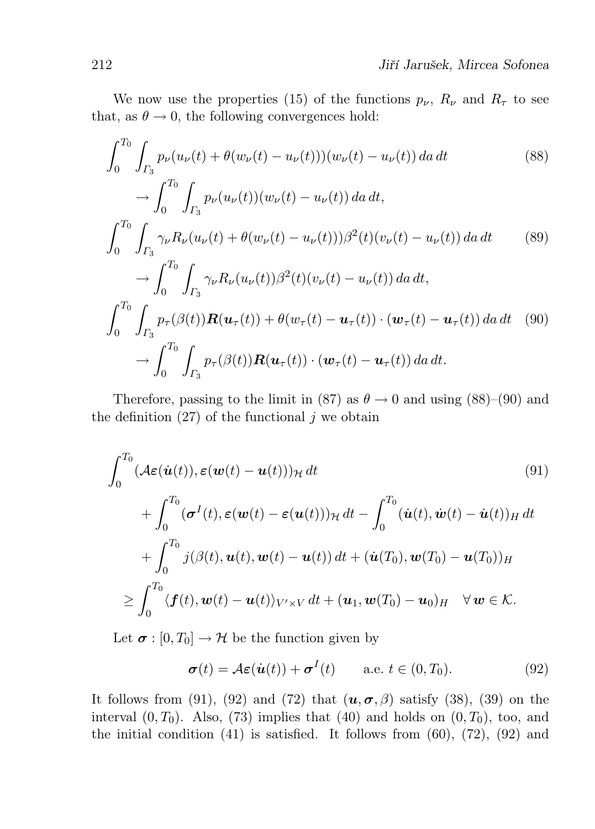We now use the properties (15) of the functions  $p_{\nu}$ ,  $R_{\nu}$  and  $R_{\tau}$  to see that, as  $\theta \rightarrow 0$ , the following convergences hold:

$$
\int_{0}^{T_{0}} \int_{\Gamma_{3}} p_{\nu}(u_{\nu}(t) + \theta(w_{\nu}(t) - u_{\nu}(t)))(w_{\nu}(t) - u_{\nu}(t)) da dt \qquad (88)
$$
  
\n
$$
\to \int_{0}^{T_{0}} \int_{\Gamma_{3}} p_{\nu}(u_{\nu}(t)) (w_{\nu}(t) - u_{\nu}(t)) da dt,
$$
  
\n
$$
\int_{0}^{T_{0}} \int_{\Gamma_{3}} \gamma_{\nu} R_{\nu}(u_{\nu}(t) + \theta(w_{\nu}(t) - u_{\nu}(t))) \beta^{2}(t) (v_{\nu}(t) - u_{\nu}(t)) da dt \qquad (89)
$$
  
\n
$$
\to \int_{0}^{T_{0}} \int_{\Gamma_{3}} \gamma_{\nu} R_{\nu}(u_{\nu}(t)) \beta^{2}(t) (v_{\nu}(t) - u_{\nu}(t)) da dt,
$$
  
\n
$$
\int_{0}^{T_{0}} \int_{\Gamma_{3}} p_{\tau}(\beta(t)) \mathbf{R}(u_{\tau}(t)) + \theta(w_{\tau}(t) - u_{\tau}(t)) \cdot (\mathbf{w}_{\tau}(t) - u_{\tau}(t)) da dt \qquad (90)
$$
  
\n
$$
\to \int_{0}^{T_{0}} \int_{\Gamma_{3}} p_{\tau}(\beta(t)) \mathbf{R}(u_{\tau}(t)) \cdot (\mathbf{w}_{\tau}(t) - u_{\tau}(t)) da dt.
$$

Therefore, passing to the limit in (87) as  $\theta \to 0$  and using (88)–(90) and the definition  $(27)$  of the functional j we obtain

$$
\int_0^{T_0} (\mathcal{A}\varepsilon(\dot{u}(t)), \varepsilon(\boldsymbol{w}(t) - \boldsymbol{u}(t)))_{\mathcal{H}} dt \qquad (91)
$$
\n
$$
+ \int_0^{T_0} (\boldsymbol{\sigma}^I(t), \varepsilon(\boldsymbol{w}(t) - \varepsilon(\boldsymbol{u}(t)))_{\mathcal{H}} dt - \int_0^{T_0} (\dot{u}(t), \dot{\boldsymbol{w}}(t) - \dot{u}(t))_{H} dt
$$
\n
$$
+ \int_0^{T_0} j(\beta(t), \boldsymbol{u}(t), \boldsymbol{w}(t) - \boldsymbol{u}(t)) dt + (\dot{u}(T_0), \boldsymbol{w}(T_0) - \boldsymbol{u}(T_0))_{H}
$$
\n
$$
\geq \int_0^{T_0} \langle \boldsymbol{f}(t), \boldsymbol{w}(t) - \boldsymbol{u}(t) \rangle_{V' \times V} dt + (\boldsymbol{u}_1, \boldsymbol{w}(T_0) - \boldsymbol{u}_0)_{H} \quad \forall \, \boldsymbol{w} \in \mathcal{K}.
$$
\n(91)

Let  $\sigma : [0, T_0] \to \mathcal{H}$  be the function given by

$$
\boldsymbol{\sigma}(t) = \mathcal{A}\boldsymbol{\varepsilon}(\dot{\boldsymbol{u}}(t)) + \boldsymbol{\sigma}^{I}(t) \qquad \text{a.e. } t \in (0, T_0). \tag{92}
$$

It follows from (91), (92) and (72) that  $(u, \sigma, \beta)$  satisfy (38), (39) on the interval  $(0, T_0)$ . Also, (73) implies that (40) and holds on  $(0, T_0)$ , too, and the initial condition  $(41)$  is satisfied. It follows from  $(60)$ ,  $(72)$ ,  $(92)$  and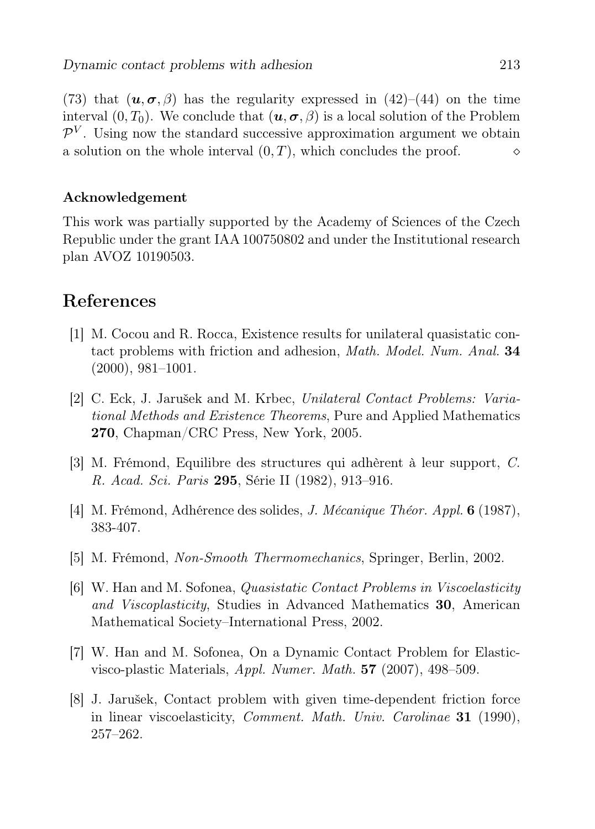(73) that  $(u, \sigma, \beta)$  has the regularity expressed in (42)–(44) on the time interval  $(0, T_0)$ . We conclude that  $(u, \sigma, \beta)$  is a local solution of the Problem  $\mathcal{P}^V$ . Using now the standard successive approximation argument we obtain a solution on the whole interval  $(0, T)$ , which concludes the proof.

#### Acknowledgement

This work was partially supported by the Academy of Sciences of the Czech Republic under the grant IAA 100750802 and under the Institutional research plan AVOZ 10190503.

## References

- [1] M. Cocou and R. Rocca, Existence results for unilateral quasistatic contact problems with friction and adhesion, Math. Model. Num. Anal. 34 (2000), 981–1001.
- [2] C. Eck, J. Jarušek and M. Krbec, Unilateral Contact Problems: Variational Methods and Existence Theorems, Pure and Applied Mathematics 270, Chapman/CRC Press, New York, 2005.
- [3] M. Frémond, Equilibre des structures qui adhèrent à leur support, C. R. Acad. Sci. Paris 295, Série II (1982), 913–916.
- [4] M. Frémond, Adhérence des solides, J. Mécanique Théor. Appl. 6 (1987), 383-407.
- [5] M. Frémond, Non-Smooth Thermomechanics, Springer, Berlin, 2002.
- [6] W. Han and M. Sofonea, Quasistatic Contact Problems in Viscoelasticity and Viscoplasticity, Studies in Advanced Mathematics 30, American Mathematical Society–International Press, 2002.
- [7] W. Han and M. Sofonea, On a Dynamic Contact Problem for Elasticvisco-plastic Materials, Appl. Numer. Math. 57 (2007), 498–509.
- [8] J. Jarušek, Contact problem with given time-dependent friction force in linear viscoelasticity, Comment. Math. Univ. Carolinae 31 (1990), 257–262.